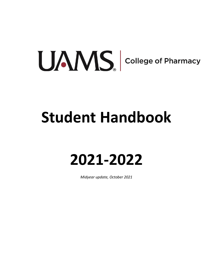# UANS college of Pharmacy

# **Student Handbook**

# **2021-2022**

*Midyear update, October 2021*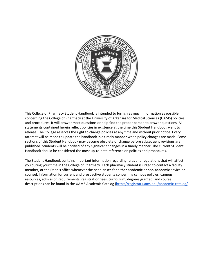

This College of Pharmacy Student Handbook is intended to furnish as much information as possible concerning the College of Pharmacy at the University of Arkansas for Medical Sciences (UAMS) policies and procedures. It will answer most questions or help find the proper person to answer questions. All statements contained herein reflect policies in existence at the time this Student Handbook went to release. The College reserves the right to change policies at any time and without prior notice. Every attempt will be made to update the handbook in a timely manner when policy changes are made. Some sections of this Student Handbook may become obsolete or change before subsequent revisions are published. Students will be notified of any significant changes in a timely manner. The current Student Handbook should be considered the most up-to-date reference on policies and procedures.

The Student Handbook contains important information regarding rules and regulations that will affect you during your time in the College of Pharmacy. Each pharmacy student is urged to contact a faculty member, or the Dean's office whenever the need arises for either academic or non-academic advice or counsel. Information for current and prospective students concerning campus policies, campus resources, admission requirements, registration fees, curriculum, degrees granted, and course descriptions can be found in the UAMS Academic Catalog [\(https://registrar.uams.edu/academic-catalog/](https://registrar.uams.edu/academic-catalog/)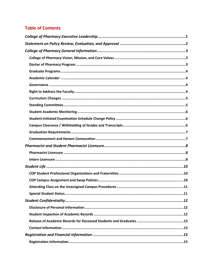# **Table of Contents**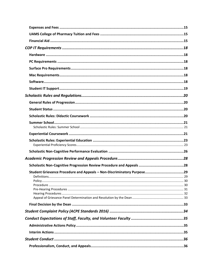| Student Grievance Procedure and Appeals - Non-Discriminatory Purpose29 |  |
|------------------------------------------------------------------------|--|
|                                                                        |  |
|                                                                        |  |
|                                                                        |  |
|                                                                        |  |
|                                                                        |  |
|                                                                        |  |
|                                                                        |  |
|                                                                        |  |
|                                                                        |  |
|                                                                        |  |
|                                                                        |  |
|                                                                        |  |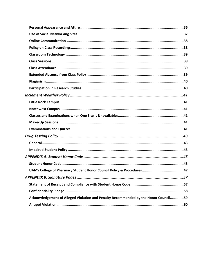| Acknowledgement of Alleged Violation and Penalty Recommended by the Honor Council59 |  |
|-------------------------------------------------------------------------------------|--|
|                                                                                     |  |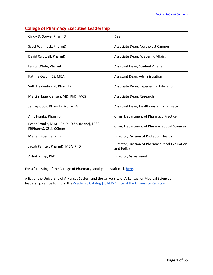| Cindy D. Stowe, PharmD                                                   | Dean                                                          |  |
|--------------------------------------------------------------------------|---------------------------------------------------------------|--|
| Scott Warmack, PharmD                                                    | Associate Dean, Northwest Campus                              |  |
| David Caldwell, PharmD                                                   | Associate Dean, Academic Affairs                              |  |
| Lanita White, PharmD                                                     | Assistant Dean, Student Affairs                               |  |
| Katrina Owoh, BS, MBA                                                    | Assistant Dean, Administration                                |  |
| Seth Heldenbrand, PharmD                                                 | Associate Dean, Experiential Education                        |  |
| Martin Hauer-Jensen, MD, PhD, FACS                                       | Associate Dean, Research                                      |  |
| Jeffrey Cook, PharmD, MS, MBA                                            | Assistant Dean, Health-System Pharmacy                        |  |
| Amy Franks, PharmD                                                       | Chair, Department of Pharmacy Practice                        |  |
| Peter Crooks, M.Sc., Ph.D., D.Sc. (Manc), FRSC,<br>FRPharmS, CSci, CChem | Chair, Department of Pharmaceutical Sciences                  |  |
| Marjan Boerma, PhD                                                       | Director, Division of Radiation Health                        |  |
| Jacob Painter, PharmD, MBA, PhD                                          | Director, Division of Pharmaceutical Evaluation<br>and Policy |  |
| Ashok Philip, PhD                                                        | Director, Assessment                                          |  |

# **College of Pharmacy Executive Leadership**

For a full listing of the College of Pharmacy faculty and staff clic[k here.](https://pharmacy.uams.edu/contact-us/directory/)

A list of the University of Arkansas System and the University of Arkansas for Medical Sciences leadership can be found in the [Academic Catalog | UAMS Office of the University Registrar](https://registrar.uams.edu/academic-catalog/)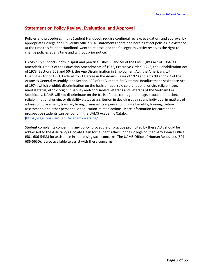# **Statement on Policy Review, Evaluation, and Approval**

Policies and procedures in this Student Handbook require continual review, evaluation, and approval by appropriate College and University officials. All statements contained herein reflect policies in existence at the time this Student Handbook went to release, and the College/University reserves the right to change policies at any time and without prior notice.

UAMS fully supports, both in spirit and practice, Titles VI and VII of the Civil Rights Act of 1964 (as amended), Title IX of the Education Amendments of 1972, Executive Order 11246, the Rehabilitation Act of 1973 (Sections 503 and 504), the Age Discrimination in Employment Act, the Americans with Disabilities Act of 1991, Federal Court Decree in the Adams Cases of 1973 and Acts 99 and 962 of the Arkansas General Assembly, and Section 402 of the Vietnam Era Veterans Readjustment Assistance Act of 1974, which prohibit discrimination on the basis of race, sex, color, national origin, religion, age, marital status, ethnic origin, disability and/or disabled veterans and veterans of the Vietnam Era. Specifically, UAMS will not discriminate on the basis of race, color, gender, age, sexual orientation, religion, national origin, or disability status as a criterion in deciding against any individual in matters of admission, placement, transfer, hiring, dismissal, compensation, fringe benefits, training, tuition assessment, and other personnel or education-related actions. More information for current and prospective students can be found in the UAMS Academic Catalog [\(https://registrar.uams.edu/academic-catalog/](https://registrar.uams.edu/academic-catalog/)

Student complaints concerning any policy, procedure or practice prohibited by these Acts should be addressed to the Assistant/Associate Dean for Student Affairs in the College of Pharmacy Dean's Office (501-686-5433) for assistance in addressing such concerns. The UAMS Office of Human Resources (501- 686-5650), is also available to assist with these concerns.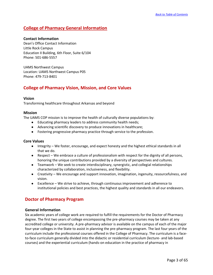# **College of Pharmacy General Information**

#### **Contact Information**

Dean's Office Contact Information Little Rock Campus Education II Building, 6th Floor, Suite 6/104 Phone: 501-686-5557

UAMS Northwest Campus Location: UAMS Northwest Campus P05 Phone: 479-713-8401

# **College of Pharmacy Vision, Mission, and Core Values**

#### **Vision**

Transforming healthcare throughout Arkansas and beyond

#### **Mission**

The UAMS COP mission is to improve the health of culturally diverse populations by:

- Educating pharmacy leaders to address community health needs;
- Advancing scientific discovery to produce innovations in healthcare;
- Fostering progressive pharmacy practice through service to the profession.

#### **Core Values**

- Integrity We foster, encourage, and expect honesty and the highest ethical standards in all that we do.
- Respect We embrace a culture of professionalism with respect for the dignity of all persons, honoring the unique contributions provided by a diversity of perspectives and cultures.
- Teamwork We seek to create interdisciplinary, synergistic, and collegial relationships characterized by collaboration, inclusiveness, and flexibility.
- Creativity We encourage and support innovation, imagination, ingenuity, resourcefulness, and vision.
- Excellence We strive to achieve, through continuous improvement and adherence to institutional policies and best practices, the highest quality and standards in all our endeavors.

# **Doctor of Pharmacy Program**

#### **General Information**

Six academic years of college work are required to fulfill the requirements for the Doctor of Pharmacy degree. The first two years of college encompassing the pre-pharmacy courses may be taken at any accredited college or university. A pre-pharmacy advisor is available on the campus of each of the major four-year colleges in the State to assist in planning the pre-pharmacy program. The last four years of the curriculum include the professional courses offered in the College of Pharmacy. The curriculum is a faceto-face curriculum generally divided into the didactic or residential curriculum (lecture- and lab-based courses) and the experiential curriculum (hands-on education in the practice of pharmacy in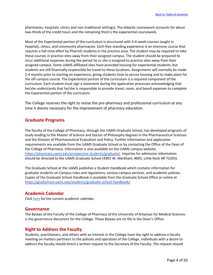pharmacies, hospitals, clinics and non-traditional settings). The didactic coursework accounts for about two-thirds of the credit hours and the remaining third is the experiential coursework.

Most of the Experiential portion of the curriculum is structured with 3-4-week courses taught in hospitals, clinics, and community pharmacies. Each free-standing experience is an intensive course that requires a full-time effort by PharmD students in the practice area. The student may be required to take these courses in practice sites away from their assigned campus. The student should be prepared to incur additional expenses during the period he or she is assigned to practice sites away from their assigned campus. Some UAMS-affiliated sites have provided housing for experiential students, but students are still financially responsible for travel to these locations. Assignments will normally be made 2-4 months prior to starting an experience, giving students time to secure housing and to make plans for the off-campus course. The Experiential portion of the curriculum is a required component of the curriculum. Each student must sign a statement during the application processes acknowledging that he/she understands that he/she is responsible to provide travel, room, and board expenses to complete the Experiential portion of the curriculum.

The College reserves the right to revise the pre-pharmacy and professional curriculum at any time it deems necessary for the improvement of pharmacy education.

# **Graduate Programs**

The faculty of the College of Pharmacy, through the UAMS Graduate School, has developed programs of study leading to the Master of Science and Doctor of Philosophy degrees in the Pharmaceutical Sciences and the Division of Pharmaceutical Evaluation and Policy. Further information and application requirements are available from the UAMS Graduate School or by contacting the Office of the Dean of the College of Pharmacy. Information is also available on the UAMS campus website: [https://pharmacy.uams.edu/prospective-students/graduate/.](https://pharmacy.uams.edu/prospective-students/graduate/) Inquiries for admission information should be directed to the UAMS Graduate School (4301 W. Markham, #601; Little Rock AR 72205).

The Graduate School at the UAMS publishes a Student Handbook which contains information for graduate students on Campus rules and regulations, various campus services, and academic policies. Copies of the Graduate School Handbook is available from the Graduate School Office or online at <https://gradschool.uams.edu/students/graduate-school-handbook/>

# **Academic Calendar**

Click [here](https://pharmacy.uams.edu/current-students/academic-programs/) for the current academic calendar.

# **Governance**

The Bylaws of the Faculty of the College of Pharmacy of the University of Arkansas for Medical Sciences is the governance document for the College. These Bylaws are on file in the Dean's Office.

# **Right to Address the Faculty**

Students, practitioners, and others with an interest in the College have the right to address a faculty meeting on matters pertinent to the policies and operation of the College. Individuals with a desire to address the faculty should direct a written request to the Secretary of the Faculty. The request should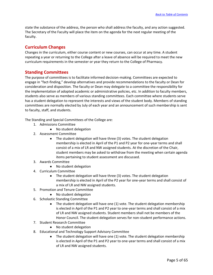state the substance of the address, the person who shall address the faculty, and any action suggested. The Secretary of the Faculty will place the item on the agenda for the next regular meeting of the faculty.

# **Curriculum Changes**

Changes in the curriculum, either course content or new courses, can occur at any time. A student repeating a year or returning to the College after a leave of absence will be required to meet the new curriculum requirements in the semester or year they return to the College of Pharmacy.

# **Standing Committees**

The purpose of committees is to facilitate informed decision-making. Committees are expected to engage in "fact-finding," develop alternatives and provide recommendations to the faculty or Dean for consideration and disposition. The faculty or Dean may delegate to a committee the responsibility for the implementation of adopted academic or administrative policies, etc. In addition to faculty members, students also serve as members of various standing committees. Each committee where students serve has a student delegation to represent the interests and views of the student body. Members of standing committees are normally elected by July of each year and an announcement of such membership is sent to faculty, staff, and students.

The Standing and Special Committees of the College are:

- 1. Admissions Committee
	- No student delegation
- 2. Assessment Committee
	- The student delegation will have three (3) votes. The student delegation membership is elected in April of the P1 and P2 year for one-year terms and shall consist of a mix of LR and NW assigned students. At the discretion of the Chair, student members may be asked to withdraw from the meeting when certain agenda items pertaining to student assessment are discussed.
- 3. Awards Committee
	- No student delegation
- 4. Curriculum Committee
	- The student delegation will have three (3) votes. The student delegation membership is elected in April of the P2 year for one-year terms and shall consist of a mix of LR and NW assigned students.
- 5. Promotion and Tenure Committee
	- No student delegation
- 6. Scholastic Standing Committee
	- The student delegation will have one (1) vote. The student delegation membership is elected in April of the P1 and P2 year to one-year terms and shall consist of a mix of LR and NW assigned students. Student members shall not be members of the Honor Council. The student delegation serves for non-student performance actions.
- 7. Student Research Committee
	- No student delegation
- 8. Educational and Technology Support Advisory Committee
	- The student delegation will have one (1) vote. The student delegation membership is elected in April of the P1 and P2 year to one-year terms and shall consist of a mix of LR and NW assigned students.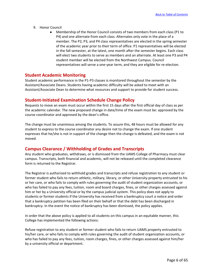- 9. Honor Council
	- Membership of the Honor Council consists of two members from each class (P1 to P4) and one alternate from each class. Alternates only vote in the place of a member. The P2, P3, and P4 class representatives are elected in the spring semester of the academic year prior to their term of office. P1 representatives will be elected in the fall semester, at the latest, one month after the semester begins. Each class will elect two students to serve as members and an alternate. At least one P3 and P4 student member will be elected from the Northwest Campus. Council representatives will serve a one-year term, and they are eligible for re-election.

# **Student Academic Monitoring**

Student academic performance in the P1-P3 classes is monitored throughout the semester by the Assistant/Associate Deans. Students having academic difficulty will be asked to meet with an Assistant/Associate Dean to determine what resources and support to provide for student success.

# **Student-Initiated Examination Schedule Change Policy**

Requests to move an exam must occur within the first 15 days after the first official day of class as per the academic calendar. The new proposed change in date/time of the exam must be: approved by the course coordinator and approved by the dean's office.

The change must be unanimous among the students. To assure this, 48 hours must be allowed for any student to express to the course coordinator any desire not to change the exam. If one student expresses that he/she is not in support of the change then the change is defeated, and the exam is not moved.

# **Campus Clearance / Withholding of Grades and Transcripts**

Any student who graduates, withdraws, or is dismissed from the UAMS College of Pharmacy must clear campus. Transcripts, both financial and academic, will not be released until the completed clearance form is returned to the Registrar.

The Registrar is authorized to withhold grades and transcripts and refuse registration to any student or former student who fails to return athletic, military, library, or other University property entrusted to his or her care, or who fails to comply with rules governing the audit of student organization accounts, or who has failed to pay any fees, tuition, room and board charges, fines, or other charges assessed against him or her by a University official or by the campus judicial system. This policy does not apply to students or former students if the University has received from a bankruptcy court a notice and order that a bankruptcy petition has been filed on their behalf or that the debt has been discharged in bankruptcy. In the event the notice of bankruptcy has been dismissed, the policy applies.

In order that the above policy is applied to all students on this campus in an equitable manner, this College has implemented the following actions:

Refuse registration to any student or former student who fails to return UAMS property entrusted to his/her care, or who fails to comply with rules governing the audit of student organization accounts, or who has failed to pay any fees, tuition, room charges, fines, or other charges assessed against him/her by a university official or department.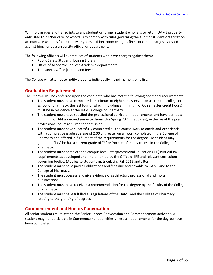Withhold grades and transcripts to any student or former student who fails to return UAMS property entrusted to his/her care, or who fails to comply with rules governing the audit of student organization accounts, or who has failed to pay any fees, tuition, room charges, fines, or other charges assessed against him/her by a university official or department.

The following officials will submit lists of students who have charges against them:

- Public Safety Student Housing Library
- Office of Academic Services Academic departments
- Treasurer's Office (tuition and fees)

The College will attempt to notify students individually if their name is on a list.

#### **Graduation Requirements**

The PharmD will be conferred upon the candidate who has met the following additional requirements:

- The student must have completed a minimum of eight semesters, in an accredited college or school of pharmacy, the last four of which (including a minimum of 60 semester credit hours) must be in residence at the UAMS College of Pharmacy.
- The student must have satisfied the professional curriculum requirements and have earned a minimum of 144 approved semester hours (for Spring 2022 graduates), exclusive of the preprofessional hours required for admission.
- The student must have successfully completed all the course work (didactic and experiential) with a cumulative grade average of 2.00 or greater on all work completed in the College of Pharmacy and offered in fulfillment of the requirements for the degree. No student may graduate if he/she has a current grade of "F" or 'no credit' in any course in the College of Pharmacy.
- The student must complete the campus level Interprofessional Education (IPE) curriculum requirements as developed and implemented by the Office of IPE and relevant curriculum governing bodies. (Applies to students matriculating Fall 2015 and after).
- The student must have paid all obligations and fees due and payable to UAMS and to the College of Pharmacy.
- The student must possess and give evidence of satisfactory professional and moral qualifications.
- The student must have received a recommendation for the degree by the faculty of the College of Pharmacy.
- The student must have fulfilled all regulations of the UAMS and the College of Pharmacy, relating to the granting of degrees.

# **Commencement and Honors Convocation**

All senior students must attend the Senior Honors Convocation and Commencement activities. A student may not participate in Commencement activities unless all requirements for the degree have been completed.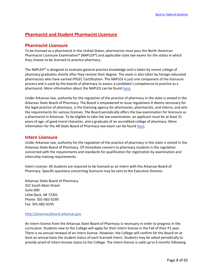# **Pharmacist and Student Pharmacist Licensure**

# **Pharmacist Licensure**

To be licensed as a pharmacist in the United States, pharmacists must pass the North American Pharmacist Licensure Examination® (NAPLEX®) and applicable state law exams for the states in which they choose to be licensed to practice pharmacy.

The NAPLEX® Is designed to evaluate general practice knowledge and is taken by recent college of pharmacy graduates shortly after they receive their degree. The exam is also taken by foreign-educated pharmacists who have earned FPGEC Certification. The NAPLEX is just one component of the licensure process and is used by the boards of pharmacy to assess a candidate's competence to practice as a pharmacist. More information about the NAPLEX can be found [here.](https://nabp.pharmacy/programs/examinations/naplex/)

Under Arkansas law, authority for the regulation of the practice of pharmacy in the state is vested in the Arkansas State Board of Pharmacy. The Board is empowered to issue regulations it deems necessary for the legal practice of pharmacy, is the licensing agency for pharmacies, pharmacists, and interns, and sets the requirements for various licenses. The Board periodically offers the law examination for licensure as a pharmacist in Arkansas. To be eligible to take the law examination, an applicant must be at least 21 years of age, of good moral character, and a graduate of an accredited college of pharmacy. More information for the AR State Board of Pharmacy law exam can be found [here.](https://www.pharmacyboard.arkansas.gov/licensee-information/)

#### **Intern Licensure**

Under Arkansas law, authority for the regulation of the practice of pharmacy in this state is vested in the Arkansas State Board of Pharmacy. Of immediate concern to pharmacy students is the regulation concerned with the requirements and standards for qualification for registration by examination and internship training requirements.

Intern License: All students are required to be licensed as an intern with the Arkansas Board of Pharmacy. Specific questions concerning licensure may be sent to the Executive Director.

Arkansas State Board of Pharmacy 322 South Main Street Suite 600 Little Rock, AR 72201 Phone: 501-682-0190 Fax: 501-682-0195

#### [http://pharmacyboard.arkansas.gov](http://pharmacyboard.arkansas.gov/)

An intern license from the Arkansas State Board of Pharmacy is necessary in order to progress in the curriculum. Students new to the College will apply for their intern license in the Fall of their P1 year. There is no annual renewal of an intern license. However, the College will confirm for the Board on at least an annual basis the student status of each licensed intern. Students may be asked periodically to provide proof of intern license status to the College. The intern license is valid up to 6 months following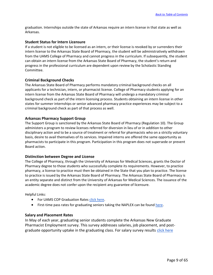graduation. Internships outside the state of Arkansas require an intern license in that state as well as Arkansas.

#### **Student Status for Intern Licensure**

If a student is not eligible to be licensed as an intern, or their license is revoked by or surrenders their intern license to the Arkansas State Board of Pharmacy, the student will be administratively withdrawn from the UAMS College of Pharmacy and cannot progress in the curriculum. If subsequently, the student can obtain an intern license from the Arkansas State Board of Pharmacy, the student's return and progress in the professional curriculum are dependent upon review by the Scholastic Standing Committee.

#### **Criminal Background Checks**

The Arkansas State Board of Pharmacy performs mandatory criminal background checks on all applicants for a technician, intern, or pharmacist license. College of Pharmacy students applying for an intern license from the Arkansas State Board of Pharmacy will undergo a mandatory criminal background check as part of the intern licensing process. Students obtaining an intern license in other states for summer internships or senior advanced pharmacy practice experiences may be subject to a criminal background check as part of that process as well.

#### **Arkansas Pharmacy Support Group**

The Support Group is sanctioned by the Arkansas State Board of Pharmacy (Regulation 10). The Group administers a program to review licenses referred for diversion in lieu of or in addition to other disciplinary action and to be a source of treatment or referral for pharmacists who on a strictly voluntary basis, desire to avail themselves of its services. Impaired interns are offered the same opportunity as pharmacists to participate in this program. Participation in this program does not supersede or prevent Board action.

#### **Distinction between Degree and License**

The College of Pharmacy, through the University of Arkansas for Medical Sciences, grants the Doctor of Pharmacy degree to those students who successfully complete its requirements. However, to practice pharmacy, a license to practice must then be obtained in the State that you plan to practice. The license to practice is issued by the Arkansas State Board of Pharmacy. The Arkansas State Board of Pharmacy is an entity separate and distinct from the University of Arkansas for Medical Sciences. The issuance of the academic degree does not confer upon the recipient any guarantee of licensure.

Helpful Links:

- For UAMS COP Graduation Rates [click here](https://pharmacy.uams.edu/about-us/accreditation/).
- First-time pass rates for graduating seniors taking the NAPLEX can be found [here](https://nabp.pharmacy/wp-content/uploads/2019/03/NAPLEX-Pass-Rates-2019.pdf).

#### **Salary and Placement Rates**

In May of each year, graduating senior students complete the Arkansas New Graduate Pharmacist Employment survey. This survey addresses salaries, job placement, and postgraduate opportunity uptake in the graduating class. For salary survey results [click here](https://pharmacy.uams.edu/about-us/accreditation/)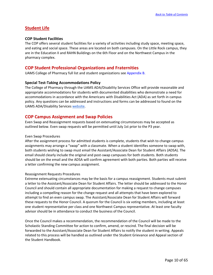# **Student Life**

#### **COP Student Facilities**

The COP offers several student facilities for a variety of activities including study space, meeting space, and eating and social space. These areas are located on both campuses. On the Little Rock campus, they are in the Education II and RAHN Buildings on the 6th Floor and on the Northwest Campus in the pharmacy complex.

# **COP Student Professional Organizations and Fraternities**

UAMS College of Pharmacy full list and student organizations see Appendix B.

#### **Special Test-Taking Accommodations Policy**

The College of Pharmacy through the UAMS ADA/Disability Services Office will provide reasonable and appropriate accommodations for students with documented disabilities who demonstrate a need for accommodations in accordance with the Americans with Disabilities Act (ADA) as set forth in campus policy. Any questions can be addressed and instructions and forms can be addressed to found on the UAMS ADA/Disability Services [website.](https://students.uams.edu/ada-disability-services/)

# **COP Campus Assignment and Swap Policies**

Even Swap and Reassignment requests based on extenuating circumstances may be accepted as outlined below. Even swap requests will be permitted until July 1st prior to the P3 year.

#### Even Swap Procedures

After the assignment process for admitted students is complete, students that wish to change campus assignments may arrange a "swap" with a classmate. When a student identifies someone to swap with, both students wishing to swap must email the Assistant/Associate Dean for Student Affairs (ADSA). The email should clearly include the original and post-swap campuses for both students. Both students should be on the email and the ADSA will confirm agreement with both parties. Both parties will receive a letter confirming the new campus assignment.

#### Reassignment Requests Procedures

Extreme extenuating circumstances may be the basis for a campus reassignment. Students must submit a letter to the Assistant/Associate Dean for Student Affairs. The letter should be addressed to the Honor Council and should contain all appropriate documentation for making a request to change campuses including a compelling reason for the change request and all attempts that have been explored to attempt to find an even campus swap. The Assistant/Associate Dean for Student Affairs will forward these requests to the Honor Council. A quorum for the Council is six voting members, including at least one student representative per class and one Northwest Campus representative. At least one faculty advisor should be in attendance to conduct the business of the Council.

Once the Council makes a recommendation, the recommendation of the Council will be made to the Scholastic Standing Committee for action to confirm, amend, or rescind. The final decision will be forwarded to the Assistant/Associate Dean for Student Affairs to notify the student in writing. Appeals related to this process will be handled as outlined under the Student Grievance and Appeal section of the Student Handbook.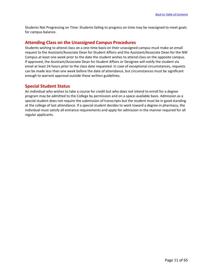Students Not Progressing on Time: Students failing to progress on time may be reassigned to meet goals for campus balance.

# **Attending Class on the Unassigned Campus Procedures**

Students wishing to attend class on a one-time basis on their unassigned campus must make an email request to the Assistant/Associate Dean for Student Affairs and the Assistant/Associate Dean for the NW Campus at least one week prior to the date the student wishes to attend class on the opposite campus. If approved, the Assistant/Associate Dean for Student Affairs or Designee will notify the student via email at least 24 hours prior to the class date requested. In case of exceptional circumstances, requests can be made less than one week before the date of attendance, but circumstances must be significant enough to warrant approval outside these written guidelines.

# **Special Student Status**

An individual who wishes to take a course for credit but who does not intend to enroll for a degree program may be admitted to the College by permission and on a space-available basis. Admission as a special student does not require the submission of transcripts but the student must be in good standing at the college of last attendance. If a special student decides to work toward a degree in pharmacy, the individual must satisfy all entrance requirements and apply for admission in the manner required for all regular applicants.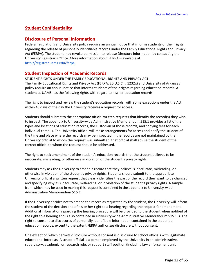# **Student Confidentiality**

# **Disclosure of Personal Information**

Federal regulations and University policy require an annual notice that informs students of their rights regarding the release of personally identifiable records under the Family Educational Rights and Privacy Act (FERPA). The student may revoke permission to release Directory Information by contacting the University Registrar's Office. More information about FERPA is available a[t](http://registrar.uams.edu/) [http://registrar.uams.edu/ferpa.](http://registrar.uams.edu/ferpa)

# **Student Inspection of Academic Records**

STUDENT RIGHTS UNDER THE FAMILY EDUCATIONAL RIGHTS AND PRIVACY ACT: The Family Educational Rights and Privacy Act (FERPA, 20 U.S.C. § 1232g) and University of Arkansas policy require an annual notice that informs students of their rights regarding education records. A student at UAMS has the following rights with regard to his/her education records:

The right to inspect and review the student's education records, with some exceptions under the Act, within 45 days of the day the University receives a request for access.

Students should submit to the appropriate official written requests that identify the record(s) they wish to inspect. The appendix to University-wide Administrative Memorandum 515.1 provides a list of the types and locations of education records, the custodian of those records, and copying fees for each individual campus. The University official will make arrangements for access and notify the student of the time and place where the records may be inspected. If the records are not maintained by the University official to whom the request was submitted, that official shall advise the student of the correct official to whom the request should be addressed.

The right to seek amendment of the student's education records that the student believes to be inaccurate, misleading, or otherwise in violation of the student's privacy rights.

Students may ask the University to amend a record that they believe is inaccurate, misleading, or otherwise in violation of the student's privacy rights. Students should submit to the appropriate University official a written request that clearly identifies the part of the record they want to be changed and specifying why it is inaccurate, misleading, or in violation of the student's privacy rights. A sample from which may be used in making this request is contained in the appendix to University-wide Administrative Memorandum 515.1.

If the University decides not to amend the record as requested by the student, the University will inform the student of the decision and of his or her right to a hearing regarding the request for amendment. Additional information regarding the hearing procedure will be provided to the student when notified of the right to a hearing and is also contained in University-wide Administrative Memorandum 515.1.3. The right to consent to disclosures of personally identifiable information contained in the student's education records, except to the extent FERPA authorizes disclosure without consent.

One exception which permits disclosure without consent is disclosure to school officials with legitimate educational interests. A school official is a person employed by the University in an administrative, supervisory, academic, or research role, or support staff position (including law enforcement unit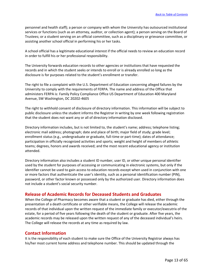personnel and health staff); a person or company with whom the University has outsourced institutional services or functions (such as an attorney, auditor, or collection agent); a person serving on the Board of Trustees; or a student serving on an official committee, such as a disciplinary or grievance committee, or assisting another school official in performing his or her tasks.

A school official has a legitimate educational interest if the official needs to review an education record in order to fulfill his or her professional responsibility.

The University forwards education records to other agencies or institutions that have requested the records and in which the student seeks or intends to enroll or is already enrolled so long as the disclosure is for purposes related to the student's enrollment or transfer.

The right to file a complaint with the U.S. Department of Education concerning alleged failures by the University to comply with the requirements of FERPA. The name and address of the Office that administers FERPA is: Family Policy Compliance Office US Department of Education 400 Maryland Avenue, SW Washington, DC 20202-4605

The right to withhold consent of disclosure of directory information. This information will be subject to public disclosure unless the student informs the Registrar in writing by one week following registration that the student does not want any or all of directory information disclosed.

Directory information includes, but is not limited to, the student's name; address; telephone listing; electronic mail address; photograph; date and place of birth; major field of study; grade level; enrollment status (e.g., undergraduate or graduate, full-time or part-time); dates of attendance; participation in officially recognized activities and sports; weight and height of members of athletic teams; degrees, honors and awards received; and the most recent educational agency or institution attended.

Directory information also includes a student ID number, user ID, or other unique personal identifier used by the student for purposes of accessing or communicating in electronic systems, but only if the identifier cannot be used to gain access to education records except when used in conjunction with one or more factors that authenticate the user's identity, such as a personal identification number (PIN), password, or other factor known or possessed only by the authorized user. Directory information does not include a student's social security number.

# **Release of Academic Records for Deceased Students and Graduates**

When the College of Pharmacy becomes aware that a student or graduate has died, either through the presentation of a death certificate or other verifiable means, the College will release the academic records of that individual upon the written request of the immediate family or executor/executrix of the estate, for a period of five years following the death of the student or graduate. After five years, the academic records may be released upon the written request of any of the deceased individual's heirs. The College will release the records at any time as required by law.

# **Contact Information**

It is the responsibility of each student to make sure the Office of the University Registrar always has his/her most current home address and telephone number. This should be updated through the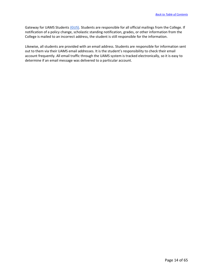Gateway for UAMS Students [\(GUS\).](https://gus.uams.edu/psp/GUS/EMPLOYEE/EMPL/h/?tab=PAPP_GUEST) Students are responsible for all official mailings from the College. If notification of a policy change, scholastic standing notification, grades, or other information from the College is mailed to an incorrect address, the student is still responsible for the information.

Likewise, all students are provided with an email address. Students are responsible for information sent out to them via their UAMS email addresses. It is the student's responsibility to check their email account frequently. All email traffic through the UAMS system is tracked electronically, so it is easy to determine if an email message was delivered to a particular account.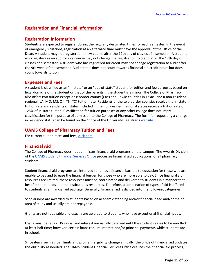# **Registration and Financial Information**

# **Registration Information**

Students are expected to register during the regularly designated times for each semester. In the event of emergency situations, registration at an alternate time must have the approval of the Office of the Dean. A student may not register for a new course after the 12th day of classes of a semester. A student who registers as an auditor in a course may not change the registration to credit after the 12th day of classes of a semester. A student who has registered for credit may not change registration to audit after the 9th week of the semester. Audit status does not count towards financial aid credit hours but does count towards tuition.

# **Expenses and Fees**

A student is classified as an "in-state" or an "out-of-state" student for tuition and fee purposes based on legal domicile of the student or that of the parents if the student is a minor. The College of Pharmacy also offers two tuition exceptions: border county (Cass and Bowie counties in Texas) and a non-resident regional (LA, MO, MS, OK, TN, TX) tuition rate. Residents of the two border counties receive the in-state tuition rate and residents of states included in the non-resident regional states receive a tuition rate of 125% of in-state tuition. Classification for tuition purposes at any other college does not imply classification for the purpose of admission to the College of Pharmacy. The form for requesting a change in residency status can be found on the Office of the University Registrar's [website.](https://registrar.uams.edu/our-forms/)

# **UAMS College of Pharmacy Tuition and Fees**

For current tuition rates and fees, [click here](https://studentfinancialservices.uams.edu/tuition-and-fees-2/college-of-pharmacy-tuition-fees/).

# **Financial Aid**

The College of Pharmacy does not administer financial aid programs on the campus. The Awards Division of the [UAMS Student Financial Services Office](https://studentfinancialservices.uams.edu/) processes financial aid applications for all pharmacy students.

Student financial aid programs are intended to remove financial barriers to education for those who are unable to pay and to ease the financial burden for those who are more able to pay. Since financial aid resources are limited, these resources must be coordinated and delivered to students in a manner that best fits their needs and the institution's resources. Therefore, a combination of types of aid is offered to students as a financial aid package. Generally, financial aid is divided into the following categories:

Scholarships are awarded to students based on academic standing and/or financial need and/or major area of study and usually are not repayable.

Grants are not repayable and usually are awarded to students who have exceptional financial needs.

Loans must be repaid. Principal and interest are usually deferred until the student ceases to be enrolled at least half time; however, certain loans require interest and/or principal payments while students are in school.

Since items such as loan limits and program eligibility change annually, the office of financial aid updates the eligibility as needed. The UAMS Student Financial Services Office outlines the financial aid process,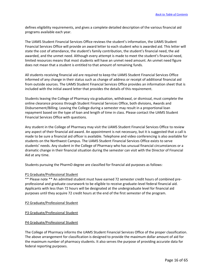defines eligibility requirements, and gives a complete detailed description of the various financial aid programs available each year.

The UAMS Student Financial Services Office reviews the student's information, the UAMS Student Financial Services Office will provide an award letter to each student who is awarded aid. This letter will state the cost of attendance, the student's family contribution, the student's financial need, the aid awarded, and the unmet need. Although every attempt is made to meet the student's financial need, limited resources means that most students will have an unmet need amount. An unmet need figure does not mean that a student is entitled to that amount of remaining funds.

All students receiving financial aid are required to keep the UAMS Student Financial Services Office informed of any change in their status such as change of address or receipt of additional financial aid from outside sources. The UAMS Student Financial Services Office provides an information sheet that is included with the initial award letter that provides the details of this requirement.

Students leaving the College of Pharmacy via graduation, withdrawal, or dismissal, must complete the online clearance process through Student Financial Services Office, both divisions, Awards and Disbursement/Billing. Leaving the College during a semester may result in a proportional loan repayment based on the type of loan and length of time in class. Please contact the UAMS Student Financial Services Office with questions.

Any student in the College of Pharmacy may visit the UAMS Student Financial Services Office to review any aspect of their financial aid award. An appointment is not necessary, but it is suggested that a call is made to be sure a financial aid officer is available. Telephone and video conferencing is also available for students on the Northwest Campus. The UAMS Student Financial Services Office exists to serve students' needs. Any student in the College of Pharmacy who has unusual financial circumstances or a dramatic change in their financial situation during the semester can visit with the Director of Financial Aid at any time.

Students pursuing the PharmD degree are classified for financial aid purposes as follows:

#### P1 Graduate/Professional Student

\*\* Please note \*\* An admitted student must have earned 72 semester credit hours of combined preprofessional and graduate coursework to be eligible to receive graduate-level federal financial aid. Applicants with less than 72 hours will be designated at the undergraduate level for financial aid purposes until they acquire 72 credit hours at the end of the first semester of the program.

P2 Graduate/Professional Student

P3 Graduate/Professional Student

#### P4 Graduate/Professional Student

The College of Pharmacy informs the UAMS Student Financial Services Office of the proper classification. The above arrangement for classification is designed to provide the maximum dollar amount of aid for the maximum number of pharmacy students. It also serves the purpose of providing accurate data for federal reporting purposes.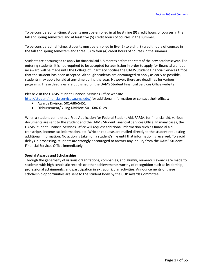To be considered full-time, students must be enrolled in at least nine (9) credit hours of courses in the fall and spring semesters and at least five (5) credit hours of courses in the summer.

To be considered half-time, students must be enrolled in five (5) to eight (8) credit hours of courses in the fall and spring semesters and three (3) to four (4) credit hours of courses in the summer.

Students are encouraged to apply for financial aid 6-8 months before the start of the new academic year. For entering students, it is not required to be accepted for admission in order to apply for financial aid, but no award will be made until the College of Pharmacy notifies the UAMS Student Financial Services Office that the student has been accepted. Although students are encouraged to apply as early as possible, students may apply for aid at any time during the year. However, there are deadlines for various programs. These deadlines are published on the UAMS Student Financial Services Office website.

Please visit the UAMS Student Financial Services Office website

<http://studentfinancialservices.uams.edu/> for additional information or contact their offices:

- Awards Division: 501-686-5451
- Disbursement/Billing Division: 501-686-6128

When a student completes a Free Application for Federal Student Aid, FAFSA, for financial aid, various documents are sent to the student and the UAMS Student Financial Services Office. In many cases, the UAMS Student Financial Services Office will request additional information such as financial aid transcripts, income tax information, etc. Written requests are mailed directly to the student requesting additional information. No action is taken on a student's file until that information is received. To avoid delays in processing, students are strongly encouraged to answer any inquiry from the UAMS Student Financial Services Office immediately.

#### **Special Awards and Scholarships**

Through the generosity of various organizations, companies, and alumni, numerous awards are made to students with high scholastic records or other achievements worthy of recognition such as leadership, professional attainments, and participation in extracurricular activities. Announcements of these scholarship opportunities are sent to the student body by the COP Awards Committee.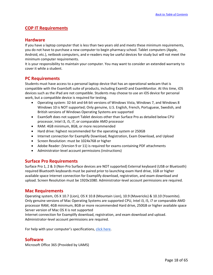# **COP IT Requirements**

# **Hardware**

If you have a laptop computer that is less than two years old and meets these minimum requirements, you do not have to purchase a new computer to begin pharmacy school. Tablet computers (Apple, Android, etc.), netbook computers, and e-readers may be useful devices for study but will not meet the minimum computer requirements.

It is your responsibility to maintain your computer. You may want to consider an extended warranty to cover it while a student.

# **PC Requirements**

Students must have access to a personal laptop device that has an operational webcam that is compatible with the ExamSoft suite of products, including ExamID and ExamMonitor. At this time, iOS devices such as the iPad are not compatible. Students may choose to use an iOS device for personal work, but a compatible device is required for testing.

- Operating system: 32-bit and 64-bit versions of Windows Vista, Windows 7, and Windows 8 Windows 10 is NOT supported; Only genuine, U.S. English, French, Portuguese, Swedish, and British versions of Windows Operating Systems are supported
- ExamSoft does not support Tablet devices other than Surface Pro as detailed below CPU processor, Intel i3, i5, i7, or comparable AMD processor
- RAM: 4GB minimum, 8GB, or more recommended
- Hard drive: highest recommended for the operating system or 250GB
- Internet connection for Examplify Download, Registration, Exam Download, and Upload
- Screen Resolution: must be 1024x768 or higher
- Adobe Reader: (Version 9 or 11) is required for exams containing PDF attachments
- Administrator-level account permissions (instructions)

# **Surface Pro Requirements**

Surface Pro 1, 2 & 3 (Non-Pro Surface devices are NOT supported) External keyboard (USB or Bluetooth) required Bluetooth keyboards must be paired prior to launching exam Hard drive, 1GB or higher available space Internet connection for Examplify download, registration, and exam download and upload. Screen Resolution must be 1920x1080. Administrator-level account permissions are required.

#### **Mac Requirements**

Operating system, OS X 10.7 (Lion), OS X 10.8 (Mountain Lion), 10.9 (Mavericks) & 10.10 (Yosemite). Only genuine versions of Mac Operating Systems are supported CPU, Intel i3, i5, i7 or comparable AMD processor RAM, 4GB minimum, 8GB or more recommended Hard drive, 250GB or higher available space Server version of Mac OS X is not supported

Internet connection for Examplify download, registration, and exam download and upload. Administrator-level account permissions are required.

For help with your computer's specifications, [click here.](https://libguides.uams.edu/technical-support)

# **Software**

Microsoft Office 365 (Provided by UAMS)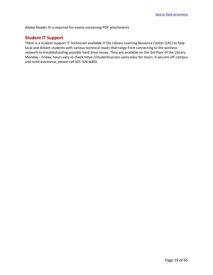Adobe Reader XI is required for exams containing PDF attachments

# **Student IT Support**

There is a student support IT Technician available in the Library Learning Resource Center (LRC) to help local and distant students with various technical issues that range from connecting to the wireless network to troubleshooting possible hard drive issues. They are available on the 3rd floor of the Library Monday – Friday, hours vary so check https://studentsuccess.uams.edu/ for hours. If you are off-campus and need assistance, please call 501-526-6003.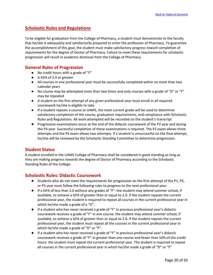# **Scholastic Rules and Regulations**

To be eligible for graduation from the College of Pharmacy, a student must demonstrate to the faculty that he/she is adequately and satisfactorily prepared to enter the profession of Pharmacy. To guarantee the accomplishment of this goal, the student must make satisfactory progress toward completion of requirements for the degree of Doctor of Pharmacy. Failure to meet these requirements for scholastic progression will result in academic dismissal from the College of Pharmacy.

# **General Rules of Progression**

- No credit hours with a grade of "F"
- A GPA of 2.0 or greater
- All courses in one professional year must be successfully completed within no more than two calendar years
- No course may be attempted more than two times and only courses with a grade of "D" or "F" may be repeated
- A student on the first attempt of any given professional year must enroll in all required coursework he/she is eligible to take
- If a student repeats a course at UAMS, the most current grade will be used to determine satisfactory completion of the course, graduation requirements, and compliance with Scholastic Rules and Regulations. All work attempted will be recorded on the student's transcript
- Progression examinations occur at the end of the didactic coursework of the P2 year and during the P4 year. Successful completion of these examinations is required. The P2 exam allows three attempts and the P4 exam allows two attempts. If a student is unsuccessful on the final attempt, he/she will be reviewed by the Scholastic Standing Committee to determine progression.

# **Student Status**

A student enrolled in the UAMS College of Pharmacy shall be considered in good standing as long as they are making progress towards the degree of Doctor of Pharmacy according to the Scholastic Standing Rules of the College.

# **Scholastic Rules: Didactic Coursework**

- Students who do not meet the requirements for progression on the first attempt of the P1, P2, or P3 year must follow the following rules to progress to the next professional year.
- If a GPA of less than 2.0 without any grades of "F": the student may attend summer school, if available, to achieve a GPA of greater than or equal to 2.0. If the student repeats the current professional year, the student is required to repeat all courses in the current professional year in which he/she made a grade of a "D".
- If a student who has never received a grade of "F" in previous professional year's didactic coursework receives a grade of "F" in one course: the student may attend summer school, if available, to achieve a GPA of greater than or equal to 2.0. If the student repeats the current professional year, the student must repeat all the courses in the current professional year in which he/she made a grade of "D" or "F".
- If a student who has never received a grade of "F" in previous professional year's didactic coursework receives a grade of "F" in greater than one course and fewer than 50% of the credit hours: the student must repeat the current professional year. The student is required to repeat all courses in the current professional year in which he/she made a grade of "D" or "F"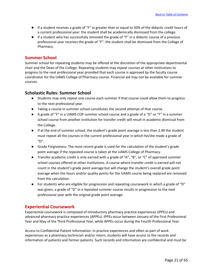- If a student receives a grade of "F" in greater than or equal to 50% of the didactic credit hours of a current professional year: the student shall be academically dismissed from the college.
- If a student who has successfully removed the grade of "F" in a didactic course of a previous professional year receives the grade of "F": the student shall be dismissed from the College of Pharmacy.

# **Summer School**

Summer school for repeating students may be offered at the discretion of the appropriate departmental chair and the Dean of the College. Repeating students may repeat courses at other institutions to progress to the next professional year provided that each course is approved by the faculty course coordinator for the UAMS College of Pharmacy course. Financial aid may not be available for summer courses.

# **Scholastic Rules: Summer School**

- Students may only repeat one course each summer if that course could allow them to progress to the next professional year.
- Taking a course in summer school constitutes the second attempt of that course.
- A grade of "F" in a UAMS COP summer school course and a grade of a "D" or "F" in a summer school course from another institution for transfer credit will result in academic dismissal from the College.
- If at the end of summer school, the student's grade point average is less than 2.00 the student must repeat all the courses in the current professional year in which he/she made a grade of  $"D".$
- Grade Forgiveness: The most recent grade is used for the calculation of the student's grade point average if the repeated course is taken at the UAMS College of Pharmacy.
- Transfer academic credit is only earned with a grade of "A", "B", or "C" of approved summer school courses offered at other institutions. A course where transfer credit is earned will not count in the student's grade point average but will change the student's overall grade point average when the hours and/or quality points for the UAMS course being replaced are removed from the calculation.
- For students who are eligible for progression and repeating coursework in which a grade of "D" was given, a grade of "D" in a repeated summer course results in progression to the next professional year with the original grade point average.

# **Experiential Coursework**

Experiential coursework is composed of introductory pharmacy practice experiences (IPPEs) and advanced pharmacy practice experiences (APPEs). IPPEs occur between January of the First Professional Year and May of the Third Professional Year, while APPEs occur during the Fourth Professional Year.

Access to Confidential Patient Information: In practice experiences and often as part of work experiences as a pharmacy technician and/or intern, students will have access to the records and information of patients and former patients. Such records and information are confidential and must be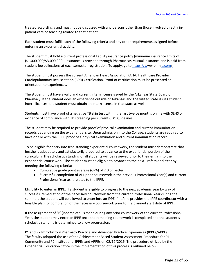treated accordingly and must not be discussed with any persons other than those involved directly inpatient care or teaching related to that patient.

Each student must fulfill each of the following criteria and any other requirements assigned before entering an experiential activity:

The student must hold a current professional liability insurance policy (minimum insurance limits of (\$1,000,000/\$3,000,000). Insurance is provided through Pharmacists Mutual insurance and is paid from student fee collections at each semester registration. To apply, go t[o https://ww](http://www.phmic.com/)w.ph[mic.com/.](http://www.phmic.com/)

The student must possess the current American Heart Association (AHA) Healthcare Provider Cardiopulmonary Resuscitation (CPR) Certification. Proof of certification must be presented at orientation to experiences.

The student must have a valid and current intern license issued by the Arkansas State Board of Pharmacy. If the student does an experience outside of Arkansas and the visited state issues student intern licenses, the student must obtain an intern license in that state as well.

Students must have proof of a negative TB skin test within the last twelve months on file with SEHS or evidence of compliance with TB screening per current CDC guidelines.

The student may be required to provide proof of physical examination and current immunization records depending on the experiential site. Upon admission into the College, students are required to have on file with the SEHS proof of a physical examination and current immunization record.

To be eligible for entry into free-standing experiential coursework, the student must demonstrate that he/she is adequately and satisfactorily prepared to advance to the experiential portion of the curriculum. The scholastic standing of all students will be reviewed prior to their entry into the experiential coursework. The student must be eligible to advance to the next Professional Year by meeting the following criteria:

- Cumulative grade point average (GPA) of 2.0 or better
- Successful completion of ALL prior coursework in the previous Professional Year(s) and current Professional Year as it relates to the IPPE.

Eligibility to enter an IPPE: If a student is eligible to progress to the next academic year by way of successful remediation of the necessary coursework from the current Professional Year during the summer, the student will be allowed to enter into an IPPE if he/she provides the IPPE coordinator with a feasible plan for completion of the necessary coursework prior to the planned start date of IPPE.

If the assignment of "I" (incomplete) is made during any prior coursework of the current Professional Year, the student may enter an IPPE once the remaining coursework is completed and the student's scholastic standing is determined to allow progression.

P1 and P2 Introductory Pharmacy Practice and Advanced Practice Experiences (IPPEs/APPEs) The faculty adopted the use of the Achievement Based Student Assessment Procedure for P1 Community and P2 Institutional IPPEs and APPEs on 02/17/2016. The procedure utilized by the Experiential Education Office in the implementation of this process is outlined below.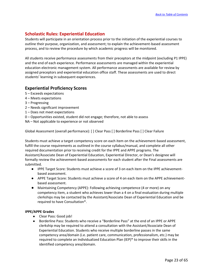# **Scholastic Rules: Experiential Education**

Students will participate in an orientation process prior to the initiation of the experiential courses to outline their purpose, organization, and assessment; to explain the achievement-based assessment process, and to review the procedure by which academic progress will be monitored.

All students receive performance assessments from their preceptors at the midpoint (excluding P1 IPPE) and the end of each experience. Performance assessments are managed within the experiential education electronic management system. All performance assessments are available for review by assigned preceptors and experiential education office staff. These assessments are used to direct students' learning in subsequent experiences.

# **Experiential Proficiency Scores**

- 5 Exceeds expectations
- 4 Meets expectations
- 3 Progressing
- 2 Needs significant improvement
- 1 Does not meet expectations
- 0 Opportunities existed, student did not engage; therefore, not able to assess
- NA Not applicable to experience or not observed

Global Assessment (overall performance): [ ] Clear Pass [ ] Borderline Pass [ ] Clear Failure

Students must achieve a target competency score on each item on the achievement-based assessment, fulfill the course requirements as outlined in the course syllabus/manual, and complete all other required documentation prior to receiving credit for the IPPE and APPE programs. The Assistant/Associate Dean of Experiential Education, Experiential Director, or Dean's designee will formally review the achievement-based assessments for each student after the Final assessments are submitted.

- IPPE Target Score: Students must achieve a score of 3 on each item on the IPPE achievementbased assessment.
- APPE Target Score: Students must achieve a score of 4 on each item on the APPE achievementbased assessment.
- Maintaining Competency (APPE): Following achieving competence (4 or more) on any competency item, a student who achieves lower than a 4 on a final evaluation during multiple clerkships may be contacted by the Assistant/Associate Dean of Experiential Education and be required to have Consultation\*.

#### **IPPE/APPE Grades**

- Clear Pass: Good job!
- Borderline Pass: Students who receive a "Borderline Pass" at the end of an IPPE or APPE clerkship may be required to attend a consultation with the Assistant/Associate Dean of Experiential Education. Students who receive multiple borderline passes in the same competency area/domain (i.e. patient care, communication, professionalism, etc.) may be required to complete an Individualized Education Plan (IEP)\* to improve their skills in the identified competency area/domain.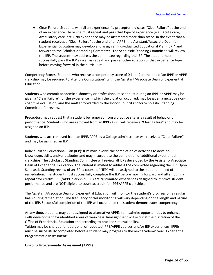● Clear Failure: Students will fail an experience if a preceptor indicates "Clear Failure" at the end of an experience. He or she must repeat and pass that type of experience (e.g., Acute care, Ambulatory care, etc.). No experience may be attempted more than twice. In the event that a student receives a "Clear Failure" at the end of an APPE, the Assistant/Associate Dean for Experiential Education may develop and assign an Individualized Educational Plan (IEP)\* and forward to the Scholastic Standing Committee. The Scholastic Standing Committee will review the IEP. The student may address the committee regarding the IEP. The student must successfully pass the IEP as well as repeat and pass another rotation of that experience type before moving forward in the curriculum.

Competency Scores: Students who receive a competency score of 0,1, or 2 at the end of an IPPE or APPE clerkship may be required to attend a Consultation\* with the Assistant/Associate Dean of Experiential Education.

Students who commit academic dishonesty or professional misconduct during an IPPE or APPE may be given a "Clear Failure" for the experience in which the violation occurred, may be given a negative noncognitive evaluation, and the matter forwarded to the Honor Council and/or Scholastic Standing Committee for review.

Preceptors may request that a student be removed from a practice site as a result of behavior or performance. Students who are removed from an IPPE/APPE will receive a "Clear Failure" and may be assigned an IEP.

Students who are removed from an IPPE/APPE by a College administrator will receive a "Clear Failure" and may be assigned an IEP.

Individualized Educational Plan (IEP): IEPs may involve the completion of activities to develop knowledge, skills, and/or attitudes and may incorporate the completion of additional experiential clerkships. The Scholastic Standing Committee will review all IEPs developed by the Assistant/ Associate Dean of Experiential Education. The student is invited to address the committee regarding the IEP. Upon Scholastic Standing review of an IEP, a course of "IEP" will be assigned to the student in need of remediation. The student must successfully complete the IEP before moving forward and attempting a repeat "for credit" IPPE/APPE clerkship. IEPs are customized experiences designed to improve student performance and are NOT eligible to count as credit for IPPE/APPE clerkships.

The Assistant/Associate Dean of Experiential Education will monitor the student's progress on a regular basis during remediation. The frequency of this monitoring will vary depending on the length and nature of the IEP. Successful completion of the IEP will occur once the student demonstrates competency.

At any time, students may be reassigned to alternative APPEs to maximize opportunities to enhance skills development for identified areas of weakness. Reassignment will occur at the discretion of the Office of Experiential Education and according to practice site availability.

Tuition may be charged for additional or repeated IPPE/APPE courses and/or IEP experiences. IPPEs must be successfully completed before a student may progress to the next academic year. Experiential Programmatic Assessment:

#### **Ongoing Programmatic Assessment (APPE)**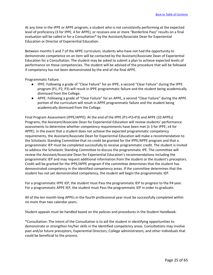At any time in the IPPE or APPE program, a student who is not consistently performing at the expected level of proficiency (3 for IPPE, 4 for APPE), or receives one or more "Borderline Pass" results on a final evaluation will be called in for a Consultation\* by the Assistant/Associate Dean for Experiential Education or Director of Experiential Education.

Between months 5 and 7 of the APPE curriculum, students who have not had the opportunity to demonstrate competence on an item will be contacted by the Assistant/Associate Dean of Experiential Education for a Consultation. The student may be asked to submit a plan to achieve expected levels of performance on those competencies. The student will be advised of the procedure that will be followed if competency has not been demonstrated by the end of the final APPE.

Programmatic Failure:

- IPPE: Following a grade of "Clear Failure" for an IPPE, a second "Clear Failure" during the IPPE program (P1, P2, P3) will result in IPPE programmatic failure and the student being academically dismissed from the College.
- APPE: Following a grade of "Clear Failure" for an APPE, a second "Clear Failure" during the APPE portion of the curriculum will result in APPE programmatic failure and the student being academically dismissed from the College.

Final Program Assessment (IPPE/APPE): At the end of the IPPE (P1+P2+P3) and APPE (10 APPEs) Programs, the Assistant/Associate Dean for Experiential Education will review students' performance assessments to determine whether competency requirements have been met (≥ 3 for IPPE; ≥4 for APPE). In the event that a student does not achieve the expected programmatic competency requirements, the Assistant/Associate Dean for Experiential Education will make a recommendation to the Scholastic Standing Committee that no credit be granted for the IPPE/APPE program and that a programmatic IEP must be completed successfully to receive programmatic credit. The student is invited to address the Scholastic Standing Committee to discuss the programmatic IPE. The committee will review the Assistant/Associate Dean for Experiential Education's recommendations including the programmatic IEP and may request additional information from the student or the student's preceptors. Credit will be granted for the IPPE/APPE program if the committee determines that the student has demonstrated competency in the identified competency areas. If the committee determines that the student has not yet demonstrated competency, the student will begin the programmatic IEP.

For a programmatic IPPE IEP, the student must Pass the programmatic IEP to progress to the P4 year. For a programmatic APPE IEP, the student must Pass the programmatic IEP in order to graduate.

All of the ten month-long APPEs in the fourth professional year must be successfully completed within no more than two calendar years.

Student appeals must be handled based on the policies and procedures in the Student Handbook.

\*Consultation: The intent of the Consultation is to aid the student in identifying opportunities to demonstrate or strengthen his/her skills in the identified competency areas. Consultations may involve past and/or future preceptors, Experiential Directors, College administrators, and other individuals that could be beneficial to the process.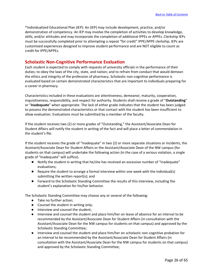\*Individualized Educational Plan (IEP): An (IEP) may include development, practice, and/or demonstration of competency. An IEP may involve the completion of activities to develop knowledge, skills, and/or attitudes and may incorporate the completion of additional IPPEs or APPEs. Clerkship IEPs must be successfully completed prior to attempting a repeat "for credit" IPPE/APPE clerkship. IEPs are customized experiences designed to improve student performance and are NOT eligible to count as credit for IPPE/APPEs.

# **Scholastic Non-Cognitive Performance Evaluation**

Each student is expected to comply with requests of university officials in the performance of their duties; to obey the laws of the city, state, and nation; and to refrain from conduct that would demean the ethics and integrity of the profession of pharmacy. Scholastic non-cognitive performance is evaluated based on certain demonstrated characteristics that are important to individuals preparing for a career in pharmacy.

Characteristics included in these evaluations are attentiveness, demeanor, maturity, cooperation, inquisitiveness, responsibility, and respect for authority. Students shall receive a grade of "**Outstanding**" or "**Inadequate**" when appropriate. The lack of either grade indicates that the student has been judged to possess the demonstrated characteristics or that contact with the student has been insufficient to allow evaluation. Evaluations must be submitted by a member of the faculty.

If the student receives two (2) or more grades of "Outstanding," the Assistant/Associate Dean for Student Affairs will notify the student in writing of the fact and will place a letter of commendation in the student's file.

If the student receives the grade of "Inadequate" in two (2) or more separate situations or incidents, the Assistant/Associate Dean for Student Affairs or the Assistant/Associate Dean of the NW campus (for students on that campus) will undertake the following action (in the case of a serious violation, a single grade of "Inadequate" will suffice).

- Notify the student in writing that he/she has received an excessive number of "Inadequate" evaluations;
- Require the student to arrange a formal interview within one week with the individual(s) submitting the written report(s); and
- Forward to the Scholastic Standing Committee the results of this interview, including the student's explanation for his/her behavior.

The Scholastic Standing Committee may choose any or several of the following:

- Take no further action;
- Counsel the student in writing only;
- Interview and counsel the student;
- Interview and counsel the student and place him/her on leave of absence for an interval to be recommended by the Assistant/Associate Dean for Student Affairs (in consultation with the Assistant/Associate Dean for the NW campus for students on that campus) and approved by the Scholastic Standing Committee;
- Interview and counsel the student and place him/her on scholastic non-cognitive probation for an interval to be recommended by the Assistant/Associate Dean for Student Affairs (in consultation with the Assistant/Associate Dean for the NW campus for students on that campus) and approved by the Scholastic Standing Committee;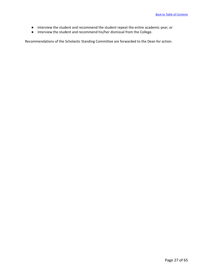- Interview the student and recommend the student repeat the entire academic year; or
- Interview the student and recommend his/her dismissal from the College.

Recommendations of the Scholastic Standing Committee are forwarded to the Dean for action.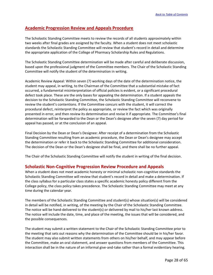# **Academic Progression Review and Appeals Procedure**

The Scholastic Standing Committee meets to review the records of all students approximately within two weeks after final grades are assigned by the faculty. When a student does not meet scholastic standards the Scholastic Standing Committee will review that student's record in detail and determine the appropriate application of the College of Pharmacy Scholarship Rules and Regulations.

The Scholastic Standing Committee determination will be made after careful and deliberate discussion, based upon the professional judgment of the Committee members. The Chair of the Scholastic Standing Committee will notify the student of the determination in writing.

Academic Review Appeal: Within seven (7) working days of the date of the determination notice, the student may appeal, in writing, to the Chairman of the Committee that a substantial mistake of fact occurred, a fundamental misinterpretation of official policies is evident, or a significant procedural defect took place. These are the only bases for appealing the determination. If a student appeals the decision to the Scholastic Standing Committee, the Scholastic Standing Committee will reconvene to review the student's contentions. If the Committee concurs with the student, it will correct the procedural defect, reinterpret the policy as appropriate, or review the fact which was originally presented in error, and then review its determination and revise it if appropriate. The Committee's final determination will be forwarded to the Dean or the Dean's designee after the seven (7) day period for appeal has passed, or at the conclusion of an appeal.

Final Decision by the Dean or Dean's Designee: After receipt of a determination from the Scholastic Standing Committee resulting from an academic procedure, the Dean or Dean's designee may accept the determination or refer it back to the Scholastic Standing Committee for additional consideration. The decision of the Dean or the Dean's designee shall be final, and there shall be no further appeal.

The Chair of the Scholastic Standing Committee will notify the student in writing of the final decision.

# **Scholastic Non-Cognitive Progression Review Procedure and Appeals**

When a student does not meet academic honesty or minimal scholastic non-cognitive standards the Scholastic Standing Committee will review that student's record in detail and make a determination. If the class syllabus for a particular class states a specific academic honesty policy different from the College policy, the class policy takes precedence. The Scholastic Standing Committee may meet at any time during the calendar year.

The members of the Scholastic Standing Committee and student(s) whose situation(s) will be considered in detail will be notified, in writing, of the meeting by the Chair of the Scholastic Standing Committee. The notice will be hand-delivered to the student(s) or delivered by mail to his/her last known address. The notice will include the date, time, and place of the meeting, the issues that will be considered, and the possible consequences.

The student may submit a written statement to the Chair of the Scholastic Standing Committee prior to the meeting that sets out reasons why the determination of the Committee should be in his/her favor. The student may also submit written statements from others on his/her behalf, and may appear before the Committee, make an oral statement, and answer questions from members of the Committee. This interaction shall be in the nature of an informal give-and-take rather than a formal evidentiary hearing.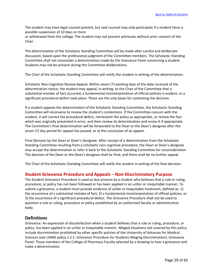The student may have legal counsel present, but said counsel may only participate if a student faces a possible suspension of 10 days or more

or withdrawal from the college. The student may not present witnesses without prior consent of the Chair.

The determination of the Scholastic Standing Committee will be made after careful and deliberate discussion, based upon the professional judgment of the Committee members. The Scholastic Standing Committee shall not reconsider a determination made by the Grievance Panel concerning a student. Students may not be present during the Committee deliberations.

The Chair of the Scholastic Standing Committee will notify the student in writing of the determination.

Scholastic Non-Cognitive Review Appeal: Within seven (7) working days of the date received of the determination notice, the student may appeal, in writing, to the Chair of the Committee that a substantial mistake of fact occurred, a fundamental misinterpretation of official policies is evident, or a significant procedural defect took place. These are the only bases for contesting the decision.

If a student appeals the determination of the Scholastic Standing Committee, the Scholastic Standing Committee will reconvene to review the student's contentions. If the Committee concurs with the student, it will correct the procedural defect, reinterpret the policy as appropriate, or review the fact which was originally presented in error, and then review its determination and revise it if appropriate. The Committee's final determination will be forwarded to the Dean or the Dean's designee after the seven (7) day period for appeal has passed, or at the conclusion of an appeal.

Final Decision by the Dean or Dean's Designee: After receipt of a determination from the Scholastic Standing Committee resulting from a scholastic non-cognitive procedure, the Dean or Dean's designee may accept the determination or refer it back to the Scholastic Standing Committee for reconsideration. The decision of the Dean or the Dean's designee shall be final, and there shall be no further appeal.

The Chair of the Scholastic Standing Committee will notify the student in writing of the final decision.

# **Student Grievance Procedure and Appeals – Non-Discriminatory Purpose**

The Student Grievance Procedure is used as due process by a student who believes that a rule or ruling, procedure, or policy has not been followed or has been applied in an unfair or inequitable manner. To submit a grievance, a student must provide evidence of unfair or inequitable treatment, defined as: 1) the occurrence of a substantial mistake of fact; 2) a fundamental misinterpretation of official policies; or 3) the occurrence of a significant procedural defect. The Grievance Procedure shall not be used to question a rule or ruling, procedure or policy established by an authorized faculty or administrative body.

#### **Definitions**

Grievance: An expression of dissatisfaction when a student believes that a rule or ruling, procedure, or policy, has been applied in an unfair or inequitable manner. Alleged situations not covered by this policy include discrimination prohibited by other specific policies of the University of Arkansas for Medical Sciences (see UAMS policy 2.2.1: Grievance Procedure for Students Alleging Discrimination). Grievance Panel: Those members of the College of Pharmacy Faculty selected by a drawing to hear a grievance and make a determination.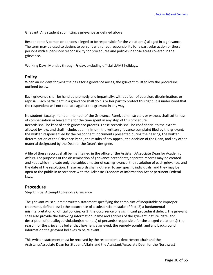Grievant: Any student submitting a grievance as defined above.

Respondent: A person or persons alleged to be responsible for the violation(s) alleged in a grievance. The term may be used to designate persons with direct responsibility for a particular action or those persons with supervisory responsibility for procedures and policies in those areas covered in the grievance.

Working Days: Monday through Friday, excluding official UAMS holidays.

# **Policy**

When an incident forming the basis for a grievance arises, the grievant must follow the procedure outlined below.

Each grievance shall be handled promptly and impartially, without fear of coercion, discrimination, or reprisal. Each participant in a grievance shall do his or her part to protect this right. It is understood that the respondent will not retaliate against the grievant in any way.

No student, faculty member, member of the Grievance Panel, administrator, or witness shall suffer loss of compensation or leave time for the time spent in any step of this procedure. Records shall be kept of each grievance process. These records shall be confidential to the extent allowed by law, and shall include, at a minimum: the written grievance complaint filed by the grievant, the written response filed by the respondent, documents presented during the hearing, the written determination of the Grievance Panel, the results of any appeal, the decision of the Dean, and any other material designated by the Dean or the Dean's designee.

A file of these records shall be maintained in the office of the Assistant/Associate Dean for Academic Affairs. For purposes of the dissemination of grievance precedents, separate records may be created and kept which indicate only the subject matter of each grievance, the resolution of each grievance, and the date of the resolution. These records shall not refer to any specific individuals, and they may be open to the public in accordance with the Arkansas Freedom of Information Act or pertinent Federal laws.

# **Procedure**

Step I: Initial Attempt to Resolve Grievance

The grievant must submit a written statement specifying the complaint of inequitable or improper treatment, defined as: 1) the occurrence of a substantial mistake of fact; 2) a fundamental misinterpretation of official policies; or 3) the occurrence of a significant procedural defect. The grievant shall also provide the following information: name and address of the grievant; nature, date, and description of the alleged violation(s); name(s) of person(s) responsible for the alleged violation(s); the reason for the grievant's belief that he/she is aggrieved; the remedy sought; and any background information the grievant believes to be relevant.

This written statement must be received by the respondent's department chair and the Assistant/Associate Dean for Student Affairs and the Assistant/Associate Dean for the Northwest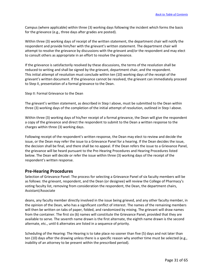Campus (where applicable) within three (3) working days following the incident which forms the basis for the grievance (e.g., three days after grades are posted).

Within three (3) working days of receipt of the written statement, the department chair will notify the respondent and provide him/her with the grievant's written statement. The department chair will attempt to resolve the grievance by discussions with the grievant and/or the respondent and may elect to consult others as appropriate in an effort to resolve the grievance.

If the grievance is satisfactorily resolved by these discussions, the terms of the resolution shall be reduced to writing and shall be signed by the grievant, department chair, and the respondent. This initial attempt of resolution must conclude within ten (10) working days of the receipt of the grievant's written document. If the grievance cannot be resolved, the grievant can immediately proceed to Step II, presentation of a formal grievance to the Dean.

Step II: Formal Grievance to the Dean

The grievant's written statement, as described in Step I above, must be submitted to the Dean within three (3) working days of the completion of the initial attempt of resolution, outlined in Step I above.

Within three (3) working days of his/her receipt of a formal grievance, the Dean will give the respondent a copy of the grievance and direct the respondent to submit to the Dean a written response to the charges within three (3) working days.

Following receipt of the respondent's written response, the Dean may elect to review and decide the issue, or the Dean may refer the issue to a Grievance Panel for a hearing. If the Dean decides the issue, the decision shall be final, and there shall be no appeal. If the Dean refers the issue to a Grievance Panel, the grievance will be heard pursuant to the Pre-Hearing Procedures and Hearing Procedures listed below. The Dean will decide or refer the issue within three (3) working days of the receipt of the respondent's written response.

# **Pre-Hearing Procedures**

Selection of Grievance Panel: The process for selecting a Grievance Panel of six faculty members will be as follows: the grievant, respondent, and the Dean (or designee) will review the College of Pharmacy's voting faculty list, removing from consideration the respondent, the Dean, the department chairs, Assistant/Associate

deans, any faculty member directly involved in the issue being grieved, and any other faculty member, in the opinion of the Dean, who has a significant conflict of interest. The names of the remaining members will then be written on tabs of paper, folded, and randomized by mixing. The grievant will draw names from the container. The first six (6) names will constitute the Grievance Panel, provided that they are available to serve. The seventh name drawn is the first alternate, the eighth name drawn is the second alternate, etc., until 6 alternates are listed in a sequence of priority.

Scheduling of the Hearing: The Hearing is to take place no sooner than five (5) days and not later than ten (10) days after the drawing unless there is a specific reason why another time must be selected (e.g., inability of an attorney to be present within the prescribed period).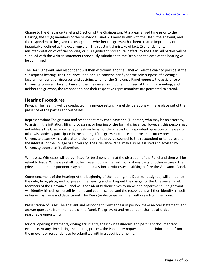Charge to the Grievance Panel and Election of the Chairperson: At a prearranged time prior to the Hearing, the six (6) members of the Grievance Panel will meet briefly with the Dean, the grievant, and the respondent to be given the charge (i.e., whether the grievant has been treated improperly or inequitably, defined as the occurrence of: 1) a substantial mistake of fact; 2) a fundamental misinterpretation of official policies; or 3) a significant procedural defect) by the Dean. All parties will be supplied with the written statements previously submitted to the Dean and the date of the hearing will be confirmed.

The Dean, grievant, and respondent will then withdraw, and the Panel will elect a chair to preside at the subsequent hearing. The Grievance Panel should convene briefly for the sole purpose of electing a faculty member as chairperson and deciding whether the Grievance Panel requests the assistance of University counsel. The substance of the grievance shall not be discussed at this initial meeting, and neither the grievant, the respondent, nor their respective representatives are permitted to attend.

# **Hearing Procedures**

Privacy: The hearing will be conducted in a private setting. Panel deliberations will take place out of the presence of the parties and witnesses.

Representation: The grievant and respondent may each have one (1) person, who may be an attorney, to assist in the initiation, filing, processing, or hearing of the formal grievance. However, this person may not address the Grievance Panel, speak on behalf of the grievant or respondent, question witnesses, or otherwise actively participate in the hearing. If the grievant chooses to have an attorney present, a University attorney may also attend the hearing to provide counsel to the respondent or to represent the interests of the College or University. The Grievance Panel may also be assisted and advised by University counsel at its discretion.

Witnesses: Witnesses will be admitted for testimony only at the discretion of the Panel and then will be asked to leave. Witnesses shall not be present during the testimony of any party or other witness. The grievant and the respondent may hear and question all witnesses testifying before the Grievance Panel.

Commencement of the Hearing: At the beginning of the hearing, the Dean (or designee) will announce the date, time, place, and purpose of the hearing and will repeat the charge for the Grievance Panel. Members of the Grievance Panel will then identify themselves by name and department. The grievant will identify himself or herself by name and year in school and the respondent will then identify himself or herself by name and department. The Dean (or designee) will then withdraw from the room.

Presentation of Case: The grievant and respondent must appear in person, make an oral statement, and answer questions from members of the Panel. The grievant and respondent shall be afforded reasonable opportunity

for oral opening statements, closing arguments, their own testimony, and pertinent documentary evidence. At any time during the hearing process, the Panel may request additional information from the grievant or respondent to be submitted within a specified timeline.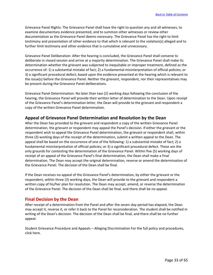Grievance Panel Rights: The Grievance Panel shall have the right to question any and all witnesses, to examine documentary evidence presented, and to summon other witnesses or review other documentation as the Grievance Panel deems necessary. The Grievance Panel has the right to limit testimony and presentation of other evidence to that which is relevant to the violation(s) alleged and to further limit testimony and other evidence that is cumulative and unnecessary.

Grievance Panel Deliberation: After the hearing is concluded, the Grievance Panel shall convene to deliberate in closed session and arrive at a majority determination. The Grievance Panel shall make its determination whether the grievant was subjected to inequitable or improper treatment, defined as the occurrence of: 1) a substantial mistake of fact; 2) a fundamental misinterpretation of official policies; or 3) a significant procedural defect; based upon the evidence presented at the hearing which is relevant to the issue(s) before the Grievance Panel. Neither the grievant, respondent, nor their representatives may be present during the Grievance Panel deliberations.

Grievance Panel Determination: No later than two (2) working days following the conclusion of the hearing, the Grievance Panel will provide their written letter of determination to the Dean. Upon receipt of the Grievance Panel's determination letter, the Dean will provide to the grievant and respondent a copy of the written Grievance Panel determination.

# **Appeal of Grievance Panel Determination and Resolution by the Dean**

After the Dean has provided to the grievant and respondent a copy of the written Grievance Panel determination, the grievant or respondent may appeal the Panel's decision. If either the grievant or the respondent wish to appeal the Grievance Panel determination, the grievant or respondent shall, within three (3) working days of the receipt of the determination, submit a written appeal to the Dean. The appeal shall be based on the occurrence of one of the following: 1) a substantial mistake of fact; 2) a fundamental misinterpretation of official policies; or 3) a significant procedural defect. These are the only grounds for contesting the determination of the Grievance Panel. Within five (5) working days of receipt of an appeal of the Grievance Panel's final determination, the Dean shall make a final determination. The Dean may accept the original determination, reverse or amend the determination of the Grievance Panel. The decision of the Dean shall be final.

If the Dean receives no appeal of the Grievance Panel's determination, by either the grievant or the respondent, within three (3) working days, the Dean will provide to the grievant and respondent a written copy of his/her plan for resolution. The Dean may accept, amend, or reverse the determination of the Grievance Panel. The decision of the Dean shall be final, and there shall be no appeal.

# **Final Decision by the Dean**

After receipt of a determination from the Panel and after the seven-day period has elapsed, the Dean may accept it, reverse it, or refer it back to the Panel for reconsideration. The student shall be notified in writing of the Dean's decision. The decision of the Dean shall be final, and there shall be no further appeal.

Student Grievance Procedure and Appeals – Alleging Discrimination For the full policy and procedures, click here.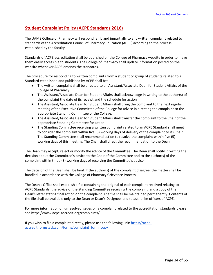# **Student Complaint Policy (ACPE Standards 2016)**

The UAMS College of Pharmacy will respond fairly and impartially to any written complaint related to standards of the Accreditation Council of Pharmacy Education (ACPE) according to the process established by the faculty.

Standards of ACPE accreditation shall be published on the College of Pharmacy website in order to make them easily accessible to students. The College of Pharmacy shall update information posted on the website whenever ACPE amends the standards.

The procedure for responding to written complaints from a student or group of students related to a Standard established and published by ACPE shall be:

- The written complaint shall be directed to an Assistant/Associate Dean for Student Affairs of the College of Pharmacy.
- The Assistant/Associate Dean for Student Affairs shall acknowledge in writing to the author(s) of the complaint the date of its receipt and the schedule for action
- The Assistant/Associate Dean for Student Affairs shall bring the complaint to the next regular meeting of the Executive Committee of the College for advice in directing the complaint to the appropriate Standing Committee of the College.
- The Assistant/Associate Dean for Student Affairs shall transfer the complaint to the Chair of the appropriate Standing Committee for action.
- The Standing Committee receiving a written complaint related to an ACPE Standard shall meet to consider the complaint within five (5) working days of delivery of the complaint to its Chair. The Standing Committee shall recommend action to resolve the complaint within five (5) working days of this meeting. The Chair shall direct the recommendation to the Dean.

The Dean may accept, reject or modify the advice of the Committee. The Dean shall notify in writing the decision about the Committee's advice to the Chair of the Committee and to the author(s) of the complaint within three (3) working days of receiving the Committee's advice.

The decision of the Dean shall be final. If the author(s) of the complaint disagree, the matter shall be handled in accordance with the College of Pharmacy Grievance Process.

The Dean's Office shall establish a file containing the original of each complaint received relating to ACPE Standards, the advice of the Standing Committee receiving the complaint, and a copy of the Dean's letter stating final action on the complaint. The file shall be maintained permanently. Contents of the file shall be available only to the Dean or Dean's Designee, and to authorize officers of ACPE.

For more information on unresolved issues on a complaint related to the accreditation standards please se[e https://www.acpe-accredit.org/complaints/.](https://www.acpe-accredit.org/complaints/)

If you wish to file a complaint directly, please use the following link[: https://acpe](https://acpe-accredit.formstack.com/forms/complaint_form_copy)[accredit.formstack.com/forms/complaint\\_form\\_copy](https://acpe-accredit.formstack.com/forms/complaint_form_copy)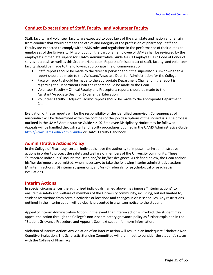# **Conduct Expectations of Staff, Faculty, and Volunteer Faculty**

Staff, faculty, and volunteer faculty are expected to obey laws of the city, state and nation and refrain from conduct that would demean the ethics and integrity of the profession of pharmacy. Staff and Faculty are expected to comply with UAMS rules and regulations in the performance of their duties as employees of the University. Misconduct on the part of an employee of UAMS shall be reviewed by the employee's immediate supervisor. UAMS Administrative Guide 4.4.01 Employee Basic Code of Conduct serves as a basis as well as this Student Handbook. Reports of misconduct of staff, faculty, and volunteer faculty should be made to the following appropriate line of communication

- Staff: reports should be made to the direct supervisor and if the supervisor is unknown then a report should be made to the Assistant/Associate Dean for Administration for the College.
- Faculty: reports should be made to the appropriate Department Chair and if the report is regarding the Department Chair the report should be made to the Dean.
- Volunteer Faculty Clinical Faculty and Preceptors: reports should be made to the Assistant/Associate Dean for Experiential Education
- Volunteer Faculty Adjunct Faculty: reports should be made to the appropriate Department Chair.

Evaluation of these reports will be the responsibility of the identified supervisor. Consequences of misconduct will be determined within the confines of the job descriptions of the individuals. The process outlined in the UAMS Administrative Guide 4.4.02 Employee Disciplinary Notice may be followed. Appeals will be handled through staff and faculty procedures outlined in the UAMS Administrative Guide <http://www.uams.edu/AdminGuide/> or UAMS Faculty Handbook.

# **Administrative Actions Policy**

In the College of Pharmacy, certain individuals have the authority to impose interim administrative actions in order to protect the safety and welfare of members of the University community. These "authorized individuals" include the Dean and/or his/her designees. As defined below, the Dean and/or his/her designee are permitted, when necessary, to take the following interim administrative actions: (A) interim actions; (B) interim suspensions; and/or (C) referrals for psychological or psychiatric evaluations.

# **Interim Actions**

In special circumstances the authorized individuals named above may impose "interim actions" to ensure the safety and welfare of members of the University community, including, but not limited to, student restrictions from certain activities or locations and changes in class schedules. Any restrictions outlined in the interim action will be clearly presented in a written notice to the student.

Appeal of Interim Administrative Action: In the event that interim action is invoked, the student may appeal the action through the College's non-discriminatory grievance policy as further explained in the "Student Grievance Procedure and Appeal". See next section for more information.

Violation of Interim Action: Any violation of an interim action will result in an inadequate Scholastic Non-Cognitive Evaluation. The Scholastic Standing Committee will then meet to consider the student's status with the College of Pharmacy.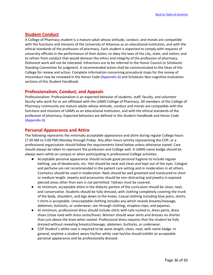# **Student Conduct**

A College of Pharmacy student is a mature adult whose attitude, conduct, and morals are compatible with the functions and missions of the University of Arkansas as an educational institution, and with the ethical standards of the profession of pharmacy. Each student is expected to comply with requests of university officials in the performance of their duties; to obey the laws of the city, state, and nation; and to refrain from conduct that would demean the ethics and integrity of the profession of pharmacy. Dishonest work will not be tolerated. Infractions are to be referred to the Honor Council or Scholastic Standing Committee for judgment. A recommended action shall be communicated to the Dean of the College for review and action. Complete information concerning procedural steps for the review of misconduct may be reviewed in the Honor Code (Appendix A) and Scholastic Non-cognitive evaluation sections of this Student Handbook.

# **Professionalism, Conduct, and Appeals**

Professionalism: Professionalism is an expected behavior of students, staff, faculty, and volunteer faculty who work for or are affiliated with the UAMS College of Pharmacy. All members of the College of Pharmacy community are mature adults whose attitude, conduct and morals are compatible with the functions and missions of UAMS as an educational institution, and with the ethical standards of the profession of pharmacy. Expected behaviors are defined in this Student Handbook and Honor Code (Appendix A)

# **Personal Appearance and Attire**

The following represents the minimally acceptable appearance and attire during regular College hours (7:30 AM to 5:00 PM) Monday through Friday. Any after-hours activity representing the COP, or a professional organization should follow the requirements listed below unless otherwise stated. Care should always be taken to represent the profession and College well. A UAMS name badge should be always worn while on campus or when participating in professional College activities.

- Acceptable personal appearance should include good personal hygiene to include regular bathing, use of deodorants, etc. Hair should be neat and clean and kept out of the eyes. Cologne and perfume are not recommended in the patient care setting and in moderation in all others. Cosmetics should be used in moderation. Nails should be well groomed and manicured to short or medium length. Jewelry and accessories should be non-distracting and jewelry in exposed pierced areas other than ears is not permitted. Tattoos must be covered.
- At minimum, acceptable attire in the didactic portion of the curriculum should be clean, neat, and conservative. Students should be fully dressed, with clothing completely covering the trunk of the body, shoulders, and legs down to the knees. Casual clothing including blue jeans, shorts, t-shirts is acceptable. Unacceptable clothing includes any which reveals breasts/cleavage, abdomen, buttocks, or underwear; see-through clothing; strapless tops; and pajamas.
- At minimum, professional dress should include shirts with tails tucked in, dress pants, dress shoes (close toed with dress socks/hose). Women should wear skirts and dresses no shorter than just above the knee when seated. Professional dress requires that the student be fully dressed without revealing breasts/cleavage, abdomen, buttocks, or underwear.
- COP Student's white coat is required to be waist-length, clean, neat, with name badge. In general, anytime a student wears his/her white coat he/she should exhibit an acceptable personal appearance and be professionally dressed.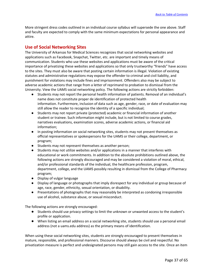More stringent dress codes outlined in an individual course syllabus will supersede the one above. Staff and faculty are expected to comply with the same minimum expectations for personal appearance and attire.

# **Use of Social Networking Sites**

The University of Arkansas for Medical Sciences recognizes that social networking websites and applications such as Facebook, Snapchat, Twitter, etc. are important and timely means of communication. Students who use these websites and applications must be aware of the critical importance of privatizing these websites and applications so that only trustworthy "friends" have access to the sites. They must also be aware that posting certain information is illegal. Violation of existing statutes and administrative regulations may expose the offender to criminal and civil liability, and punishment for violations may include fines and imprisonment. Offenders also may be subject to adverse academic actions that range from a letter of reprimand to probation to dismissal from the University. View the UAMS social networking policy. The following actions are strictly forbidden:

- Students may not report the personal health information of patients. Removal of an individual's name does not constitute proper de identification of protected health information. Furthermore, inclusion of data such as age, gender, race, or date of evaluation may still allow the reader to recognize the identity of a specific individual;
- Students may not report private (protected) academic or financial information of another student or trainee. Such information might include, but is not limited to course grades, narratives evaluations, examination scores, adverse academic actions, or financial aid information;
- In posting information on social networking sites, students may not present themselves as official representatives or spokespersons for the UAMS or their college, department, or program;
- Students may not represent themselves as another person;
- Students may not utilize websites and/or applications in a manner that interferes with educational or work commitments. In addition to the absolute prohibitions outlined above, the following actions are strongly discouraged and may be considered a violation of moral, ethical, and/or professional standards of the individual, the healthcare profession, program, department, college, and the UAMS possibly resulting in dismissal from the College of Pharmacy program;
- Display of vulgar language
- Display of language or photographs that imply disrespect for any individual or group because of age, race, gender, ethnicity, sexual orientation, or disability.
- Presentations of photographs that may reasonably be interpreted as condoning irresponsible use of alcohol, substance abuse, or sexual misconduct.

The following actions are strongly encouraged:

- Students should use privacy settings to limit the unknown or unwanted access to the student's profile or application.
- When listing an email address on a social networking site, students should use a personal email address (not a uams.edu address) as the primary means of identification.

When using these social networking sites, students are strongly encouraged to present themselves in mature, responsible, and professional manners. Discourse should always be civil and respectful. No privatization measure is perfect and undesignated persons may still gain access to the site. Once an item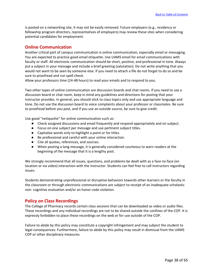is posted on a networking site, it may not be easily removed. Future employers (e.g., residency or fellowship program directors, representatives of employers) may review these sites when considering potential candidates for employment.

# **Online Communication**

Another critical part of campus communication is online communication, especially email or messaging. You are expected to practice good email etiquette. Use UAMS email for email communications with faculty or staff. All electronic communication should be short, positive, and professional in tone. Always put a subject in your message and include a brief greeting (salutation). Do not write anything that you would not want to be seen by someone else. If you need to attach a file do not forget to do so and be sure to proofread and run spell check.

Allow your professors time (24-48 hours) to read your emails and to respond to you.

Two other types of online communication are discussion boards and chat rooms. If you need to use a discussion board or chat room, keep in mind any guidelines and directions for posting that your instructor provides. In general, you should stick to class topics only and use appropriate language and tone. Do not use the discussion board to voice complaints about your professor or classmates. Be sure to proofread before you post, and if you use an outside source, be sure to give credit.

Use good "netiquette" for online communication such as:

- Check assigned discussions and email frequently and respond appropriately and on subject.
- Focus on one subject per message and use pertinent subject titles.
- Capitalize words only to highlight a point or for titles.
- Be professional and careful with your online interaction.
- Cite all quotes, references, and sources.
- When posting a long message, it is generally considered courteous to warn readers at the beginning of the message that it is a lengthy post.

We strongly recommend that all issues, questions, and problems be dealt with as a face-to-face (on location or via video) interaction with the instructor. Students can feel free to call instructors regarding issues.

Students demonstrating unprofessional or disruptive behaviors towards other learners or the faculty in the classroom or through electronic communications are subject to receipt of an inadequate scholastic non- cognitive evaluation and/or an honor code violation.

# **Policy on Class Recordings**

The College of Pharmacy records certain class sessions that can be downloaded as video or audio files. These recordings and any individual recordings are not to be shared outside the confines of the COP. It is expressly forbidden to place these recordings on the web or for use outside of the COP.

Failure to abide by this policy may constitute a copyright infringement and may subject the student to legal consequences. Furthermore, failure to abide by this policy may result in dismissal from the UAMS COP or other disciplinary measures.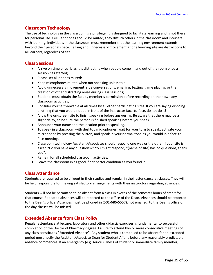# **Classroom Technology**

The use of technology in the classroom is a privilege. It is designed to facilitate learning and is not there for personal use. Cellular phones should be muted; they disturb others in the classroom and interfere with learning. Individuals in the classroom must remember that the learning environment extends beyond their personal space. Talking and unnecessary movement at one learning site are distractions to all learners, regardless of site.

# **Class Sessions**

- Arrive on time or early as it is distracting when people come in and out of the room once a session has started;
- Please set all phones muted;
- Keep microphones muted when not speaking unless told;
- Avoid unnecessary movement, side conversations, emailing, texting, game playing, or the creation of other distracting noise during class sessions;
- Students must obtain the faculty member's permission before recording on their own any classroom activities;
- Consider yourself viewable at all times by all other participating sites. If you are saying or doing anything that you would not do in front of the instructor face-to-face, do not do it!
- Allow the on-screen site to finish speaking before answering. Be aware that there may be a slight delay, so be sure the person is finished speaking before you speak.
- Announce your name and the location prior to speaking.
- To speak in a classroom with desktop microphones, wait for your turn to speak, activate your microphone by pressing the button, and speak in your normal tone as you would in a face-toface meeting.
- Classroom technology Assistant/Associates should respond one way or the other if your site is asked "Do you have any questions?" You might respond, "(name of site) has no questions, thank you".
- Remain for all scheduled classroom activities.
- Leave the classroom in as good if not better condition as you found it.

# **Class Attendance**

Students are required to be diligent in their studies and regular in their attendance at classes. They will be held responsible for making satisfactory arrangements with their instructors regarding absences.

Students will not be permitted to be absent from a class in excess of the semester hours of credit for that course. Repeated absences will be reported to the office of the Dean. Absences should be reported to the Dean's office. Absences must be phoned in (501-686-5557), not emailed, to the Dean's office on the day classes will be missed.

# **Extended Absence from Class Policy**

Regular attendance at lecture, laboratory and other didactic exercises is fundamental to successful completion of the Doctor of Pharmacy degree. Failure to attend two or more consecutive meetings of any class constitutes "Extended Absence". Any student who is compelled to be absent for an extended period must notify the Assistant/Associate Dean for Student Affairs before any reasonably predictable absence commences. If an emergency (e.g. serious illness of student or immediate family member,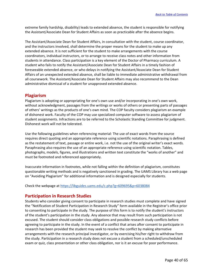extreme family hardship, disability) leads to extended absence, the student is responsible for notifying the Assistant/Associate Dean for Student Affairs as soon as practicable after the absence begins.

The Assistant/Associate Dean for Student Affairs, in consultation with the student, course coordinator, and the instructors involved, shall determine the proper means for the student to make up any extended absence. It is not sufficient for the student to make arrangements with the course coordinators, individual instructors, or to arrange to receive class notes and other information from students in attendance. Class participation is a key element of the Doctor of Pharmacy curriculum. A student who fails to notify the Assistant/Associate Dean for Student Affairs in a timely fashion of foreseeable extended absence, or who delays in notifying the Assistant/Associate Dean for Student Affairs of an unexpected extended absence, shall be liable to immediate administrative withdrawal from all coursework. The Assistant/Associate Dean for Student Affairs may also recommend to the Dean administrative dismissal of a student for unapproved extended absence.

# **Plagiarism**

Plagiarism is adopting or appropriating for one's own use and/or incorporating in one's own work, without acknowledgment, passages from the writings or works of others or presenting parts of passages of others' writings as the products of one's own mind. The COP faculty considers plagiarism an example of dishonest work. Faculty of the COP may use specialized computer software to assess plagiarism of student assignments. Infractions are to be referred to the Scholastic Standing Committee for judgment. Dishonest work will not be tolerated.

Use the following guidelines when referencing material: The use of exact words from the source requires direct quoting and an appropriate reference using scientific notations. Paraphrasing is defined as the restatement of text, passage or entire work, i.e. not the use of the original writer's exact words. Paraphrasing also requires the use of an appropriate reference using scientific notation. Tables, photographs, models, figures, and illustrations and written text constitute the "works of another" and must be footnoted and referenced appropriately.

Inaccurate information in footnotes, while not falling within the definition of plagiarism, constitutes questionable writing methods and is negatively sanctioned in grading. The UAMS Library has a web page on "Avoiding Plagiarism" for additional information and is designed especially for students.

Check the webpage a[t https://libguides.uams.edu/c.php?g=609695&p=6038084](https://libguides.uams.edu/c.php?g=609695&p=6038084)

# **Participation in Research Studies**

Students who consider giving consent to participate in research studies must complete and have signed the "Notification of Student Participation in Research Study" form available in the Registrar's office prior to consenting to participate in the study. The purpose of this form is to notify the student's instructors of the student's participation in the study. Any absence that may result from such participation is not excused. The student should consider class obligations and possible research study conflicts before agreeing to participate in the study. In the event of a conflict that arises after consent to participate in research has been provided the student may seek to resolve the conflict by making alternative arrangements with the research principal investigator, or by exercising his/her right to withdraw from the study. Participation in a research study does not excuse a student from a scheduled/unscheduled exam or quiz, class presentation or other class obligation, nor is it an excuse for poor performance.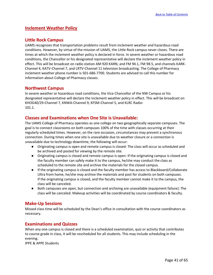# **Inclement Weather Policy**

# **Little Rock Campus**

UAMS recognizes that transportation problems result from inclement weather and hazardous road conditions. However, by virtue of the mission of UAMS, the Little Rock campus never closes. There are times at which the inclement weather policy is declared in force. In severe weather or hazardous road conditions, the Chancellor or his designated representative will declare the inclement weather policy in effect. This will be broadcast on radio station AM 920 KARN, and FM 94.1, FM 98.5, and channels KARK-Channel 4, KATV-Channel 7, and LRTV-Channel 11 television broadcasting. The College of Pharmacy inclement weather phone number is 501-686-7700. Students are advised to call this number for information about College of Pharmacy classes.

# **Northwest Campus**

In severe weather or hazardous road conditions, the Vice Chancellor of the NW Campus or his designated representative will declare the inclement weather policy in effect. This will be broadcast on KHOG40/29-Channel 7, KNWA-Channel 9, KFSM-Channel 5, and KLRC Radio-101.1.

# **Classes and Examinations when One Site is Unavailable:**

The UAMS College of Pharmacy operates as one college on two geographically separate campuses. The goal is to connect classrooms on both campuses 100% of the time with classes occurring at their regularly scheduled times. However, on the rare occasion, circumstances may prevent a synchronous connection. During times when one site is unavailable due to weather closure or a connection is unavailable due to technology downtime, the following will occur:

- Originating campus is open and remote campus is closed: The class will occur as scheduled and be archived and posted for viewing by the remote site.
- Originating campus is closed and remote campus is open: If the originating campus is closed and the faculty member can safely make it to the campus, he/she may conduct the class as scheduled to the remote site and archive the materials for the closed campus.
- If the originating campus is closed and the faculty member has access to Blackboard/Collaborate Ultra from home, he/she may archive the materials and post for students on both campuses. If the originating campus is closed, and the faculty member cannot make it to the campus, the class will be canceled.
- Both campuses are open, but connection and archiving are unavailable (equipment failure): The class will be canceled. Makeup activities will be coordinated by course coordinators & faculty.

# **Make-Up Sessions**

Missed class time will be scheduled by the Dean's office in consultation with the course coordinators as necessary.

# **Examinations and Quizzes**

When any one campus is closed and there is a scheduled examination, quiz or activity that contributes to course grade in class, it will be rescheduled for all students. This may include scheduling in the evening.

IPPE & APPE Students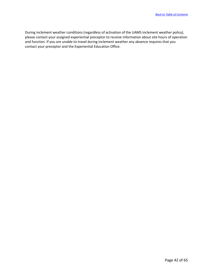During inclement weather conditions (regardless of activation of the UAMS inclement weather policy), please contact your assigned experiential preceptor to receive information about site hours of operation and function. If you are unable to travel during inclement weather any absence requires that you contact your preceptor and the Experiential Education Office.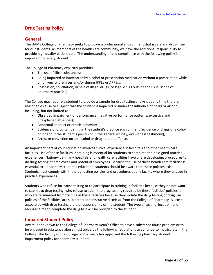# **Drug Testing Policy**

# **General**

The UAMS College of Pharmacy seeks to provide a professional environment that is safe and drug- free for our students. As members of the health care community, we have the additional responsibility to provide high quality patient care. The understanding of and compliance with the following policy is important for every student.

The College of Pharmacy explicitly prohibits:

- The use of illicit substances;
- Being impaired or intoxicated by alcohol or prescription medication without a prescription while on university premises and/or during IPPEs or APPEs;.
- Possession, solicitation, or sale of illegal drugs (or legal drugs outside the usual scope of pharmacy practice).

The College may require a student to provide a sample for drug testing analysis at any time there is reasonable cause to suspect that the student is impaired or under the influence of drugs or alcohol, including, but not limited to:

- Observed impairment of performance (negative performance patterns, excessive and unexplained absences);
- Abnormal conduct or erratic behavior;
- Evidence of drug tampering in the student's practice environment (evidence of drugs or alcohol on or about the student's person or in the general vicinity, eyewitness testimony);
- Arrest or conviction on an alcohol or drug-related offense.

An important part of your education involves clinical experience in hospitals and other health care facilities. Use of these facilities in training is essential for students to complete their assigned practice experiences. Nationwide, many hospitals and health care facilities have or are developing procedures to do drug testing of employees and potential employees. Because the use of these health care facilities is essential to a pharmacy student's education, students should be aware that these policies exist. Students must comply with the drug testing policies and procedures at any facility where they engage in practice experiences.

Students who refuse for-cause testing or to participate in training in facilities because they do not want to submit to drug testing, who refuse to submit to drug testing required by these facilities' policies, or who are terminated from training in these facilities because they violate the drug testing or drug use policies of the facilities, are subject to administrative dismissal from the College of Pharmacy. All costs associated with drug testing are the responsibility of the student. The type of testing, location, and required time to complete the drug test will be provided to the student.

# **Impaired Student Policy**

Any student known to the College of Pharmacy Dean's Office to have a substance abuse problem or to be engaged in substance abuse must abide by the following regulations to continue to matriculate in the College. The faculty of the College of Pharmacy has approved the following pharmacy student impairment policy for pharmacy students.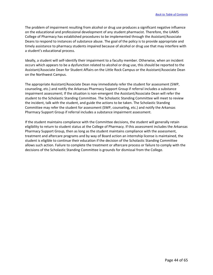The problem of impairment resulting from alcohol or drug use produces a significant negative influence on the educational and professional development of any student pharmacist. Therefore, the UAMS College of Pharmacy has established procedures to be implemented through the Assistant/Associate Deans to respond to instances of substance abuse. The goal of the policy is to provide appropriate and timely assistance to pharmacy students impaired because of alcohol or drug use that may interfere with a student's educational process.

Ideally, a student will self-identify their impairment to a faculty member. Otherwise, when an incident occurs which appears to be a dysfunction related to alcohol or drug use, this should be reported to the Assistant/Associate Dean for Student Affairs on the Little Rock Campus or the Assistant/Associate Dean on the Northwest Campus.

The appropriate Assistant/Associate Dean may immediately refer the student for assessment (SWP, counseling, etc.) and notify the Arkansas Pharmacy Support Group if referral includes a substance impairment assessment; If the situation is non-emergent the Assistant/Associate Dean will refer the student to the Scholastic Standing Committee. The Scholastic Standing Committee will meet to review the incident, talk with the student, and guide the actions to be taken. The Scholastic Standing Committee may refer the student for assessment (SWP, counseling, etc.) and notify the Arkansas Pharmacy Support Group if referral includes a substance impairment assessment.

If the student maintains compliance with the Committee decisions, the student will generally retain eligibility to return to student status at the College of Pharmacy. If this assessment includes the Arkansas Pharmacy Support Group, then as long as the student maintains compliance with the assessment, treatment and aftercare programs and by way of Board action an internship license is maintained, the student is eligible to continue their education if the decision of the Scholastic Standing Committee allows such action. Failure to complete the treatment or aftercare process or failure to comply with the decisions of the Scholastic Standing Committee is grounds for dismissal from the College.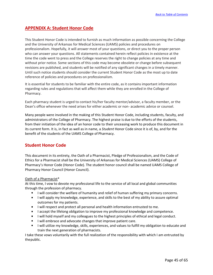# **APPENDIX A: Student Honor Code**

This Student Honor Code is intended to furnish as much information as possible concerning the College and the University of Arkansas for Medical Sciences (UAMS) policies and procedures on professionalism. Hopefully, it will answer most of your questions, or direct you to the proper person who can answer your questions. All statements contained herein reflect policies in existence at the time the code went to press and the College reserves the right to change policies at any time and without prior notice. Some sections of this code may become obsolete or change before subsequent revisions are published, and students will be notified of any significant changes in a timely manner. Until such notice students should consider the current Student Honor Code as the most up to date reference of policies and procedures on professionalism.

It is essential for students to be familiar with the entire code, as it contains important information regarding rules and regulations that will affect them while they are enrolled in the College of Pharmacy.

Each pharmacy student is urged to contact his/her faculty mentor/advisor, a faculty member, or the Dean's office whenever the need arises for either academic or non- academic advice or counsel.

Many people were involved in the making of this Student Honor Code, including students, faculty, and administrators of the College of Pharmacy. The highest praise is due to the efforts of the students, from their initiation of the idea of an honor code to their unceasing work to produce this document in its current form. It is, in fact as well as in name, a *Student* Honor Code since it is of, by, and for the benefit of the students of the UAMS College of Pharmacy.

# **Student Honor Code**

This document in its entirety, the Oath of a Pharmacist, Pledge of Professionalism, and the Code of Ethics for a Pharmacist shall be the University of Arkansas for Medical Sciences (UAMS) College of Pharmacy's Honor Code (Honor Code). The student honor council shall be named UAMS College of Pharmacy Honor Council (Honor Council).

#### Oath of a Pharmacist\*

At this time, I vow to devote my professional life to the service of all local and global communities through the profession of pharmacy.

- **I** I will consider the welfare of humanity and relief of human suffering my primary concerns.
- **I** I will apply my knowledge, experience, and skills to the best of my ability to assure optimal outcomes for my patients.
- I will respect and protect all personal and health information entrusted to me.
- I accept the lifelong obligation to improve my professional knowledge and competence.
- I limit will hold myself and my colleagues to the highest principles of ethical and legal conduct.
- I will embrace and advocate changes that improve patient care.
- **I** I will utilize my knowledge, skills, experiences, and values to fulfill my obligation to educate and train the next generation of pharmacists.

I take these vows voluntarily with the full realization of the responsibility with which I am entrusted by thepublic.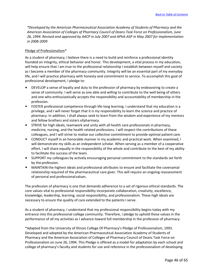*\*Developed by the American Pharmaceutical Association Academy of Students of Pharmacy and the American Association of Colleges of Pharmacy Council of Deans Task Force on Professionalism, June 26, 1994. Revised and approved by AACP in July 2007 and APhA-ASP in May 2007 for implementation in 2008-2009*

#### Pledge of Professionalism\*

As a student of pharmacy, I believe there is a need to build and reinforce a professional identity founded on integrity, ethical behavior and honor. This development, a vital process in my education, will help ensure that I am true to the professional relationship I establish between myself and society as I become a member of the pharmacy community. Integrity will be an essential part of my everyday life, and I will practice pharmacy with honesty and commitment to service. To accomplish this goal of professional development, I pledge to:

- DEVELOP a sense of loyalty and duty to the profession of pharmacy by endeavoring to create a sense of community. I will serve as one able and willing to contribute to the well being of others and one who enthusiastically accepts the responsibility and accountability of membership in the profession.
- FOSTER professional competence through life-long learning. I understand that my education is a privilege, and I will never forget that it is my responsibility to learn the science and practice of pharmacy. In addition, I shall always seek to learn from the wisdom and experience of my mentors and fellow brothers and sisters ofpharmacy.
- STRIVE for high ideals, teamwork and unity with all health care professionals in pharmacy, medicine, nursing, and the health related professions. I will respect the contributions of these colleagues, and I will strive to realize our collective commitment to provide optimal patient care.
- CONDUCT myself in an honorable manner in my academic and practical work. When examined, I will demonstrate my skills as an independent scholar. When serving as a member of a cooperative effort, I will share equally in the responsibility of the whole and contribute to the best of my ability to facilitate the success of the team.
- SUPPORT my colleagues by actively encouraging personal commitment to the standards set forth by the profession.
- MAINTAIN the highest ideals and professional attributes to ensure and facilitate the covenantal relationship required of the pharmaceutical care giver. This will require an ongoing reassessment of personal and professionalvalues.

The profession of pharmacy is one that demands adherence to a set of rigorous ethical standards. The core values vital to professional responsibility incorporate collaboration, creativity, excellence, knowledge, leadership, learning, social responsibility, and professionalism. These high ideals are necessary to ensure the quality of care extended to the patients I serve.

As a student of pharmacy, I understand that my professional responsibility begins today with my entrance into this professional college community. Therefore, I pledge to uphold these values in the performance of all my activities as I advance toward full membership in the profession of pharmacy.

\*Adapted from the University of Illinois College Of Pharmacy's Pledge of Professionalism, 1993. Developed and adopted by the American Pharmaceutical Association Academy of Students of Pharmacy and the American Association of Colleges of Pharmacy Council of Deans Task Force on Professionalism on June 26, 1994. This Pledge is offered as a model for adaptation by each school and college of pharmacy's faculty and students for use and reference in the professionalism of developing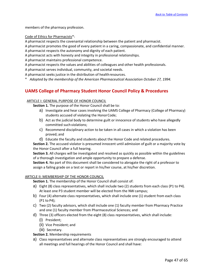members of the pharmacy profession.

Code of Ethics for Pharmacists\*:

A pharmacist respects the covenantal relationship between the patient and pharmacist.

A pharmacist promotes the good of every patient in a caring, compassionate, and confidential manner. A pharmacist respects the autonomy and dignity of each patient.

A pharmacist acts with honesty and integrity in professional relationships.

A pharmacist maintains professional competence.

A pharmacist respects the values and abilities of colleagues and other health professionals.

A pharmacist serves individual, community, and societal needs.

A pharmacist seeks justice in the distribution of healthresources.

*\* Adopted by the membership of the American Pharmaceutical Association October 27, 1994.*

# **UAMS College of Pharmacy Student Honor Council Policy & Procedures**

#### ARTICLE I: GENERAL PURPOSE OF HONOR COUNCIL

**Section 1.** The purpose of the Honor Council shall be to:

- a) Investigate and hear cases involving the UAMS College of Pharmacy (College of Pharmacy) students accused of violating the HonorCode;
- b) Act as the judicial body to determine guilt or innocence of students who have allegedly committed such violations;
- c) Recommend disciplinary action to be taken in all cases in which a violation has been proved; and
- d) Educate the faculty and students about the Honor Code and related procedures.

**Section 2.** The accused violator is presumed innocent until admission of guilt or a majority vote by the Honor Council after a full hearing.

**Section 3.** All charges will be investigated and resolved as quickly as possible within the guidelines of a thorough investigation and ample opportunity to prepare a defense.

**Section 4.** No part of this document shall be considered to abrogate the right of a professor to assign a failing grade on a test or report in his/her course, at his/her discretion.

#### ARTICLE II: MEMBERSHIP OF THE HONOR COUNCIL

**Section 1.** The membership of the Honor Council shall consist of:

- a) Eight (8) class representatives, which shall include two (2) students from each class (P1 to P4). At least one P3 student member will be elected from the NW campus;
- b) Four (4) alternate class representatives, which shall include one (1) student from each class (P1 to P4);
- c) Two (2) faculty advisors, which shall include one (1) faculty member from Pharmacy Practice and one (1) faculty member from Pharmaceutical Sciences; and
- d) Three (3) officers elected from the eight (8) class representatives, which shall include:
	- (i) President;
	- (ii) Vice President; and
	- (iii) Secretary.

**Section 2.** Membership requirements

a) Class representatives and alternate class representatives are strongly encouraged to attend all meetings and full hearings of the Honor Council and shall have: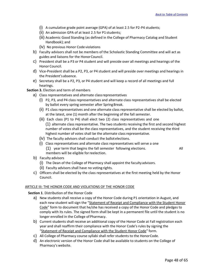- (i) A cumulative grade point average (GPA) of at least 2.5 for P2-P4 students;
- (ii) An admission GPA of at least 2.5 for P1 students;
- (iii) Academic Good Standing (as defined in the College of Pharmacy Catalog and Student Handbook); and
- (iv) No previous Honor Code violations
- b) Faculty advisors shall not be members of the Scholastic Standing Committee and will act as guides and liaisons for the HonorCouncil.
- c) President shall be a P3 or P4 student and will preside over all meetings and hearings of the Honor Council.
- d) Vice-President shall be a P2, P3, or P4 student and will preside over meetings and hearings in the President'sabsence.
- e) Secretary shall be a P2, P3, or P4 student and will keep a record of all meetings and full hearings.

#### **Section 3.** Election and term of members

- a) Class representatives and alternate classrepresentatives
	- (i) P2, P3, and P4 class representatives and alternate class representatives shall be elected by ballot every spring semester after Spring Break.
	- (ii) P1 class representatives and one alternate class representative shall be elected by ballot, at the latest, one (1) month after the beginning of the fall semester.
	- (iii) Each class (P1 to P4) shall elect two (2) class representatives and one (1) alternate class representative. The two students receiving the first and second highest number of votes shall be the class representatives, and the student receiving the third highest number of votes shall be the alternate class representative.
	- (iv) The faculty advisors shall conduct the ballotelections.
	- (i) Class representatives and alternate class representatives will serve a one (1) year term that begins the fall semester following elections. All members will be eligible forreelection.

- b) Faculty advisors
	- (i) The Dean of the College of Pharmacy shall appoint the facultyadvisors.
	- (ii) Faculty advisors shall have no voting rights.
- c) Officers shall be elected by the class representatives at the first meeting held by the Honor Council.

#### ARTICLE III: THE HONOR CODE AND VIOLATIONS OF THE HONOR CODE

**Section 1**. Distribution of the Honor Code

- a) New students shall receive a copy of the Honor Code during P1 orientation in August, and each new student will sign the "Statement of Receipt and Compliance with the Student Honor Code" form to document that he/she has received a copy of the Honor Code and pledges to comply with its rules. The signed form shall be kept in a permanent file until the student is no longer enrolled in the College of Pharmacy.
- b) Current students shall receive an additional copy of the Honor Code at Fall registration each year and shall reaffirm their compliance with the Honor Code's rules by signing the "Statement of Receipt and Compliance with the Student Honor Code" form.
- c) All College of Pharmacy course syllabi shall refer students to the HonorCode.
- d) An electronic version of the Honor Code shall be available to students on the College of Pharmacy's website.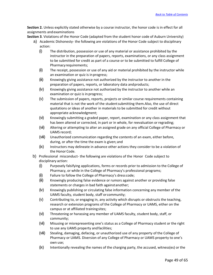**Section 2.** Unless explicitly stated otherwise by a course instructor, the honor code is in effect for all assignments andexaminations

**Section 3**. Violations of the Honor Code (adapted from the student honor code of Auburn University)

- a) Academic Dishonesty- the following are violations of the Honor Code subject to disciplinary action:
	- (i) The distribution, possession or use of any material or assistance prohibited by the instructor in the preparation of papers, reports, examinations, or any class assignment to be submitted for credit as part of a course or to be submitted to fulfill College of Pharmacyrequirements;
	- (ii) The receipt, possession or use of any aid or material prohibited by the instructor while an examination or quiz is inprogress;
	- (iii) Knowingly giving assistance not authorized by the instructor to another in the preparation of papers, reports, or laboratory data andproducts;
	- (iv) Knowingly giving assistance not authorized by the instructor to another while an examination or quiz is in progress;
	- (v) The submission of papers, reports, projects or similar course requirements containing material that is not the work of the student submitting them.Also, the use of direct quotations or ideas of another in materials to be submitted for credit without appropriate acknowledgment;
	- (vi) Knowingly submitting a graded paper, report, examination or any class assignment that has been altered or corrected, in part or in whole, for reevaluation or regrading;
	- (vii) Altering or attempting to alter an assigned grade on any official College of Pharmacy or UAMS record;
	- (viii) Unauthorized communication regarding the contents of an exam, either before, during, or after the time the exam is given; and
	- (ix) Instructors may delineate in advance other actions they consider to be a violation of the Honor Code.
- b) Professional misconduct- the following are violations of the Honor Code subject to disciplinary action:
	- (i) Purposely falsifying applications, forms or records prior to admission to the College of Pharmacy, or while in the College of Pharmacy's professional programs;
	- (ii) Failure to follow the College of Pharmacy's dress code;
	- (iii) Knowingly producing false evidence or rumors against another or providing false statements or charges in bad faith againstanother;
	- (iv) Knowingly publishing or circulating false information concerning any member of the UAMS faculty, student body, staff orcommunity;
	- (v) Contributing to, or engaging in, any activity which disrupts or obstructs the teaching, research or extension programs of the College of Pharmacy or UAMS, either on the campus or at affiliated trainingsites;
	- (vi) Threatening or harassing any member of UAMS faculty, student body, staff, or community;
	- (vii) Misusing or misrepresenting one's status as a College of Pharmacy student or the right to use any UAMS property andfacilities;
	- (viii) Stealing, damaging, defacing, or unauthorized use of any property of the College of Pharmacy or UAMS. Diversion of any College of Pharmacy or UAMS property to one's own use;
	- (ix) Intentionally revealing the names of the charging party, the accused, witness(es) or the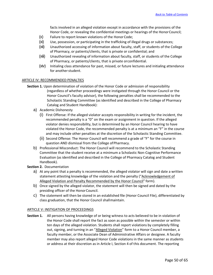facts involved in an alleged violation except in accordance with the provisions of the Honor Code, or revealing the confidential meetings or hearings of the HonorCouncil;

- (x) Failure to report known violations of the HonorCode;
- (xi) Use, possession, or participating in the trafficking of illegal drugs or substances;
- (xii) Unauthorized accessing of information about faculty, staff, or students of the College of Pharmacy, or patients/clients, that is private or confidential; and
- (xiii) Unauthorized revealing of information about faculty, staff, or students of the College of Pharmacy, or patients/clients, that is private orconfidential.
- (xiv) Initialing class attendance for past, missed, or future lectures and initialing attendance for another student.

#### ARTICLE IV: RECOMMENDED PENALTIES

- **Section 1.** Upon determination of violation of the Honor Code or admission of responsibility (regardless of whether proceedings were instigated through the Honor Council or the Honor Council's faculty advisor), the following penalties shall be recommended to the Scholastic Standing Committee (as identified and described in the College of Pharmacy Catalog and Student Handbook):
	- a) Academic Dishonesty
		- (i) First Offense: If the alleged violator accepts responsibility in writing for the incident, the recommended penalty is a "0" on the exam or assignment in question. If the alleged violator denies responsibility, but is determined by an Honor Council hearing to have violated the Honor Code, the recommended penalty is at a minimum an "F" in the course and may include other penalties at the discretion of the Scholastic Standing Committee.
		- (ii) Second Offense: The Honor Council will recommend a grade of "F" for the course in question AND dismissal from the College ofPharmacy.
	- b) Professional Misconduct: The Honor Council will recommend to the Scholastic Standing Committee that the student receive at a minimum a Scholastic Non-Cognitive Performance Evaluation (as identified and described in the College of Pharmacy Catalog and Student Handbook).
- **Section 2.** Documentation
	- a) At any point that a penalty is recommended, the alleged violator will sign and date a written statement attesting knowledge of the violation and the penalty ("Acknowledgement of Alleged Violation and Penalty Recommended by the Honor Council" form).
	- b) Once signed by the alleged violator, the statement will then be signed and dated by the presiding officer of the Honor Council.
	- c) The statement will then be stored in an established file (Honor Council File), differentiated by class graduation, that the Honor Council shallmaintain.

#### ARTICLE V: INSTIGATION OF PROCEEDINGS

**Section 1.** All persons having knowledge of or being witness to acts believed to be in violation of the Honor Code shall report the fact as soon as possible within the semester or within ten days of the alleged violation. Students shall report violations by completely filling out, signing, and turning in an "Alleged Violation" form to a Honor Council member, a faculty member, or the Associate Dean of Administrative Affairs or designee. A faculty member may also report alleged Honor Code violations in the same manner as students or address at their discretion as in Article I, Section 4 of this document. The reporting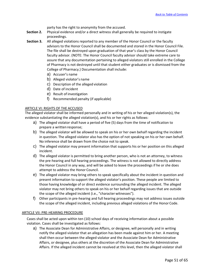party has the right to anonymity from the accused.

- **Section 2.** Physical evidence and/or a direct witness shall generally be required to instigate proceedings.
- **Section 3.** All alleged violations reported to any member of the Honor Council or the faculty advisors to the Honor Council shall be documented and stored in the Honor Council File. The file shall be destroyed upon graduation of that year's class by the Honor Council faculty advisor. (NOTE: The Honor Council faculty advisor should take extreme care to assure that any documentation pertaining to alleged violators still enrolled in the College of Pharmacy is not destroyed until that student either graduates or is dismissed from the College of Pharmacy.) Documentation shall include:
	- a) Accuser's name
	- b) Alleged violator's name
	- c) Description of the alleged violation
	- d) Date of incident
	- e) Result of investigation
	- f) Recommended penalty (if applicable)

#### ARTICLE VI: RIGHTS OF THE ACCUSED

The alleged violator shall be informed personally and in writing of his or her alleged violation(s), the evidence substantiating the alleged violation(s), and his or her rights as follows:

- a) The alleged violator shall have a period of five (5) days from the time of notification to prepare a written response;
- b) The alleged violator will be allowed to speak on his or her own behalf regarding the incident in question. The alleged violator also has the option of not speaking on his or her own behalf. No inference shall be drawn from the choice not to speak.
- c) The alleged violator may present information that supports his or her position on this alleged incident.
- d) The alleged violator is permitted to bring another person, who is not an attorney, to witness the pre-hearing and full hearing proceedings. The witness is not allowed to directly address the Honor Council in any way, and will be asked to leave the proceedings if he or she does attempt to address the Honor Council.
- e) The alleged violator may bring others to speak specifically about the incident in question and present information to support the alleged violator's position. These people are limited to those having knowledge of or direct evidence surrounding the alleged incident. The alleged violator may not bring others to speak on his or her behalf regarding issues that are outside the scope of the alleged incident (i.e., "character witnesses").
- f) Other participants in pre-hearing and full hearing proceedings may not address issues outside the scope of the alleged incident, including previous alleged violations of the Honor Code.

#### ARTICLE VII: PRE-HEARING PROCEDURE

Cases shall be acted upon within ten (10) school days of receiving information about a possible violation. Cases shall be investigated as follows:

a) The Associate Dean for Administrative Affairs, or designee, will personally and in writing notify the alleged violator that an allegation has been made against him or her. A meeting shall then occur between the alleged violator and the Associate Dean for Administrative Affairs, or designee, plus others at the discretion of the Associate Dean for Administrative Affairs. If the alleged incident cannot be resolved at this level, then the alleged violator shall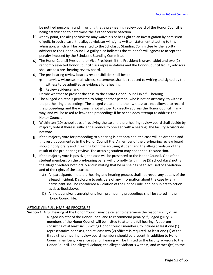be notified personally and in writing that a pre-hearing review board of the Honor Council is being established to determine the further course ofaction.

- b) At any point, the alleged violator may waive his or her right to an investigation by admission of guilt. In such a case, the alleged violator will sign a written statement attesting to this admission, which will be presented to the Scholastic Standing Committee by the faculty advisors to the Honor Council. A guilty plea indicates the student's willingness to accept the penalty imposed by the Scholastic Standing Committee.
- c) The Honor Council President (or Vice-President, if the President is unavailable) and two (2) randomly selected Honor Council class representatives and the Honor Council faculty advisors shall act as a pre- hearing review board.
- d) The pre-hearing review board's responsibilities shall beto:
	- $\emptyset$  Interview witnesses all witness statements shall be reduced to writing and signed by the witness to be admitted as evidence for ahearing;
	- $\left( \mathbf{\hat{i}} \right)$  Review evidence; and

Decide whether to present the case to the entire Honor Council in a full hearing.

- e) The alleged violator is permitted to bring another person, who is not an attorney, to witness the pre-hearing proceedings. The alleged violator and their witness are not allowed to record the proceedings and the witness is not allowed to directly address the Honor Council in any way, and will be asked to leave the proceedings if he or she does attempt to address the Honor Council.
- f) Within ten (10) school days of receiving the case, the pre-hearing review board shall decide by majority vote if there is sufficient evidence to proceed with a hearing. The faculty advisors do not vote.
- g) If the majority vote for proceeding to a hearing is not obtained, the case will be dropped and this result documented in the Honor Council File. A member of the pre-hearing review board should notify orally and in writing both the accusing student and the alleged violator of the result of the pre-hearing review. The accusing student may not appeal thisdecision.
- h) If the majority vote is positive, the case will be presented to the Honor Council. One of the student members on the pre-hearing panel will promptly (within five (5) school days) notify the alleged violator both orally and in writing that he or she has been accused of a violation and of the rights of the accused.
	- a) All participants in the pre-hearing and hearing process shall not reveal any details of the alleged incident. Disclosure to outsiders of any information about the case by any participant shall be considered a violation of the Honor Code, and be subject to action as described above.
	- b) All notes and/or transcriptions from pre-hearing proceedings shall be stored in the Honor Council file.

#### ARTICLE VIII: FULL HEARING PROCEDURE

**Section 1.** A full hearing of the Honor Council may be called to determine the responsibility of an alleged violator of the Honor Code, and to recommend penalty if judged guilty. All members of the Honor Council will be invited to attend a full hearing. A quorum consisting of at least six (6) voting Honor Council members, to include at least one (1) representative per class, and at least two (2) officers is required. At least one (1) of the three (3) pre-hearing review board members should be present. In addition to Honor Council members, presence at a full hearing will be limited to the faculty advisors to the Honor Council. The alleged violator, the alleged violator's witness, and witness(es) to the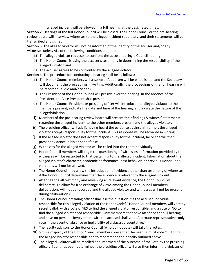alleged incident will be allowed in a full hearing at the designated times.

**Section 2.** Hearings of the full Honor Council will be closed. The Honor Council or the pre-hearing review board will interview witnesses to the alleged incident separately, and their statements will be transcribed and signed.

**Section 3.** The alleged violator will not be informed of the identity of the accuser and/or any witnesses unless ALL of the following conditions are met:

- a) The alleged violator requests to confront the accuser during a Council hearing;
- b) The Honor Council is using the accuser's testimony in determining the responsibility of the alleged violator; and
- c) The accuser agrees to be confronted by the allegedviolator.

**Section 4.** The procedure for conducting a hearing shall be as follows:

- a) The Honor Council members will assemble. A quorum will be established, and the Secretary will document the proceedings in writing. Additionally, the proceedings of the full hearing will be recorded (audio and/orvideo).
- b) The President of the Honor Council will preside over the hearing. In the absence of the President, the Vice President shall preside.
- c) The Honor Council President or presiding officer will introduce the alleged violator to the members present, indicate the date and time of the hearing, and indicate the nature of the allegedviolation.
- d) Members of the pre-hearing review board will present their findings & witness' statements regarding the alleged incident to the other members present and the alleged violator.
- e) The presiding officer will ask if, having heard the evidence against him or her, the alleged violator accepts responsibility for the incident. This response will be recorded in writing.
- f) If the alleged violator does not accept responsibility for the incident, he or she will then present evidence in his or her defense.
- g) Witnesses for the alleged violator will be called into the roomindividually.
- h) Honor Council members will begin the questioning of witnesses. Information provided by the witnesses will be restricted to that pertaining to the alleged incident. Information about the alleged violator's character, academic performance, past behavior, or previous Honor Code violations will not be allowed.
- i) The Honor Council may allow the introduction of evidence other than testimony of witnesses if the Honor Council determines that the evidence is relevant to the alleged incident.
- j) After hearing all testimony and reviewing all relevant evidence, the Honor Council will deliberate. To allow for free exchange of views among the Honor Council members, deliberations will not be recorded and the alleged violator and witnesses will not be present during deliberations.
- k) The Honor Council presiding officer shall ask the question: "Is the accused individual responsible for this alleged violation of the Honor Code?" Honor Council members will vote by secret ballot, with a vote of YES to find the alleged violator responsible, and a vote of NO to find the alleged violator not responsible. Only members that have attended the full hearing and have no personal involvement with the accused shall vote. Alternate representatives only vote in the event of absence or ineligibility of a classrepresentative.
- l) The faculty advisors to the Honor Council (who do not vote) will tally the votes.
- m) Simple majority of the Honor Council members present at the hearing must vote YES to find the alleged violator responsible and to recommend the penalty outlined above.
- n) The alleged violator will be recalled and informed of the outcome of the vote by the presiding officer. If guilt has been determined, the presiding officer will also then inform the violator of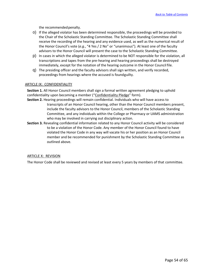the recommendedpenalty.

- o) If the alleged violator has been determined responsible, the proceedings will be provided to the Chair of the Scholastic Standing Committee. The Scholastic Standing Committee shall receive the recording of the hearing and any evidence used, as well as the numerical result of the Honor Council's vote (*e.g.*, "4 Yes / 2 No" or "unanimous"). At least one of the faculty advisors to the Honor Council will present the case to the Scholastic Standing Committee.
- p) In cases in which the alleged violator is determined to be NOT responsible for the violation, all transcriptions and tapes from the pre-hearing and hearing proceedings shall be destroyed immediately, except for the notation of the hearing outcome in the Honor Council file.
- q) The presiding officer and the faculty advisors shall sign written, and verify recorded, proceedings from hearings where the accused is foundguilty.

#### ARTICLE IX: CONFIDENTIALITY

**Section 1.** All Honor Council members shall sign a formal written agreement pledging to uphold confidentiality upon becoming a member ("Confidentiality Pledge" form).

- **Section 2.** Hearing proceedings will remain confidential. Individuals who will have access to transcripts of an Honor Council hearing, other than the Honor Council members present, include the faculty advisors to the Honor Council, members of the Scholastic Standing Committee, and any individuals within the College or Pharmacy or UAMS administration who may be involved in carrying out disciplinary action.
- **Section 3.** Revealing confidential information related to any Honor Council activity will be considered to be a violation of the Honor Code. Any member of the Honor Council found to have violated the Honor Code in any way will vacate his or her position as an Honor Council member and be recommended for punishment by the Scholastic Standing Committee as outlined above.

#### ARTICLE X: REVISION

The Honor Code shall be reviewed and revised at least every 5 years by members of that committee.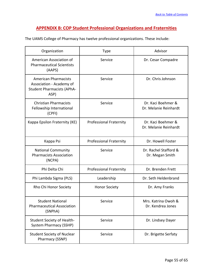# **APPENDIX B: COP Student Professional Organizations and Fraternities**

The UAMS College of Pharmacy has twelve professional organizations. These include:

| Organization                                                                                         | <b>Type</b>                    | Advisor                                     |
|------------------------------------------------------------------------------------------------------|--------------------------------|---------------------------------------------|
| American Association of<br><b>Pharmaceutical Scientists</b><br>(AAPS)                                | Service                        | Dr. Cesar Compadre                          |
| <b>American Pharmacists</b><br>Association - Academy of<br><b>Student Pharmacists (APhA-</b><br>ASP) | Service                        | Dr. Chris Johnson                           |
| <b>Christian Pharmacists</b><br>Fellowship International<br>(CPFI)                                   | Service                        | Dr. Kaci Boehmer &<br>Dr. Melanie Reinhardt |
| Kappa Epsilon Fraternity (KE)                                                                        | <b>Professional Fraternity</b> | Dr. Kaci Boehmer &<br>Dr. Melanie Reinhardt |
| Kappa Psi                                                                                            | <b>Professional Fraternity</b> | Dr. Howell Foster                           |
| <b>National Community</b><br><b>Pharmacists Association</b><br>(NCPA)                                | Service                        | Dr. Rachel Stafford &<br>Dr. Megan Smith    |
| Phi Delta Chi                                                                                        | <b>Professional Fraternity</b> | Dr. Brenden Frett                           |
| Phi Lambda Sigma (PLS)                                                                               | Leadership                     | Dr. Seth Heldenbrand                        |
| Rho Chi Honor Society                                                                                | <b>Honor Society</b>           | Dr. Amy Franks                              |
| <b>Student National</b><br><b>Pharmaceutical Association</b><br>(SNPhA)                              | Service                        | Mrs. Katrina Owoh &<br>Dr. Kendrea Jones    |
| <b>Student Society of Health-</b><br><b>System Pharmacy (SSHP)</b>                                   | Service                        | Dr. Lindsey Dayer                           |
| <b>Student Society of Nuclear</b><br>Pharmacy (SSNP)                                                 | Service                        | Dr. Brigette Serfaty                        |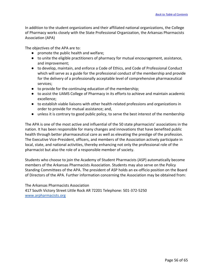In addition to the student organizations and their affiliated national organizations, the College of Pharmacy works closely with the State Professional Organization, the Arkansas Pharmacists Association (APA)

The objectives of the APA are to:

- promote the public health and welfare;
- to unite the eligible practitioners of pharmacy for mutual encouragement, assistance, and improvement;
- to develop, maintain, and enforce a Code of Ethics, and Code of Professional Conduct which will serve as a guide for the professional conduct of the membership and provide for the delivery of a professionally acceptable level of comprehensive pharmaceutical services;
- to provide for the continuing education of the membership;
- to assist the UAMS College of Pharmacy in its efforts to achieve and maintain academic excellence;
- to establish viable liaisons with other health-related professions and organizations in order to provide for mutual assistance; and,
- unless it is contrary to good public policy, to serve the best interest of the membership

The APA is one of the most active and influential of the 50 state pharmacists' associations in the nation. It has been responsible for many changes and innovations that have benefited public health through better pharmaceutical care as well as elevating the prestige of the profession. The Executive Vice-President, officers, and members of the Association actively participate in local, state, and national activities, thereby enhancing not only the professional role of the pharmacist but also the role of a responsible member of society.

Students who choose to join the Academy of Student Pharmacists (ASP) automatically become members of the Arkansas Pharmacists Association. Students may also serve on the Policy Standing Committees of the APA. The president of ASP holds an ex-officio position on the Board of Directors of the APA. Further information concerning the Association may be obtained from:

The Arkansas Pharmacists Association 417 South Victory Street Little Rock AR 72201 Telephone: 501-372-5250 [www.arpharmacists.org](http://www.arpharmacists.org/)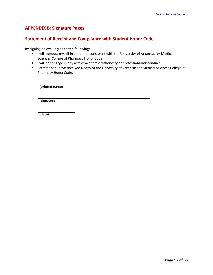# **APPENDIX B: Signature Pages**

# **Statement of Receipt and Compliance with Student Honor Code**

By signing below, I agree to the following:

- I lwill conduct myself in a manner consistent with the University of Arkansas for Medical Sciences College of Pharmacy Honor Code
- I will not engage in any acts of academic dishonesty or professionalmisconduct
- I attest that I have received a copy of the University of Arkansas for Medical Sciences College of Pharmacy Honor Code.

(printed name)

(signature)

(date)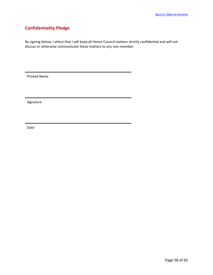# **Confidentiality Pledge**

By signing below, I attest that I will keep all Honor Council matters strictly confidential and will not discuss or otherwise communicate these matters to any non-member.

Printed Name

Signature

Date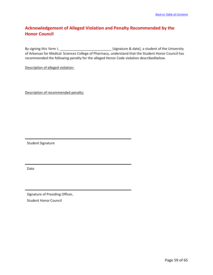# **Acknowledgement of Alleged Violation and Penalty Recommended by the Honor Council**

By signing this form I, \_\_\_\_\_\_\_\_\_\_\_\_\_\_\_\_\_\_\_\_\_\_\_\_\_\_\_ [signature & date], a student of the University of Arkansas for Medical Sciences College of Pharmacy, understand that the Student Honor Council has recommended the following penalty for the alleged Honor Code violation describedbelow.

Description of alleged violation:

Description of recommended penalty:

Student Signature

Date

Signature of Presiding Officer, Student Honor Council